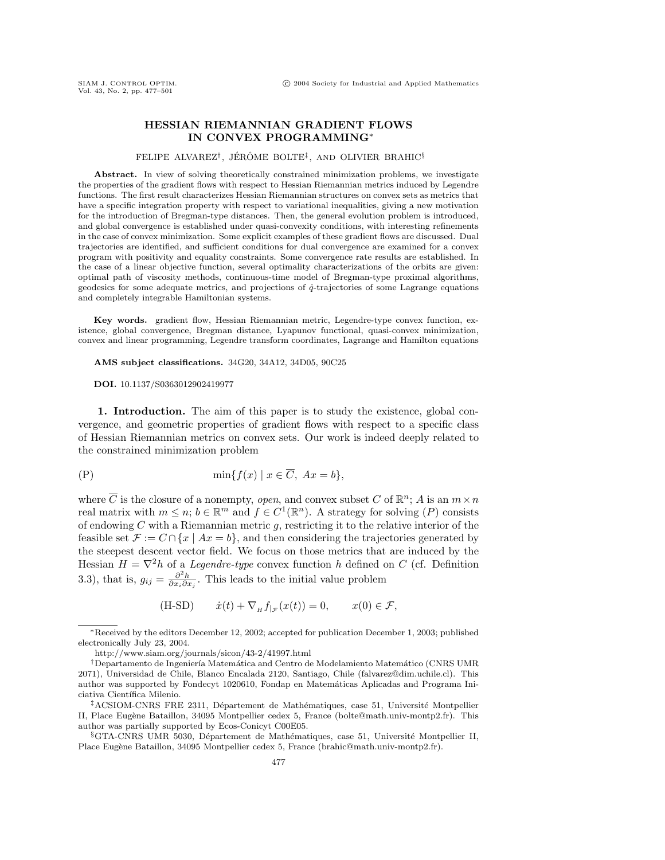# **HESSIAN RIEMANNIAN GRADIENT FLOWS IN CONVEX PROGRAMMING**<sup>∗</sup>

### FELIPE ALVAREZ<sup>†</sup>, JÉRÔME BOLTE<sup>‡</sup>, AND OLIVIER BRAHIC<sup>§</sup>

Abstract. In view of solving theoretically constrained minimization problems, we investigate the properties of the gradient flows with respect to Hessian Riemannian metrics induced by Legendre functions. The first result characterizes Hessian Riemannian structures on convex sets as metrics that have a specific integration property with respect to variational inequalities, giving a new motivation for the introduction of Bregman-type distances. Then, the general evolution problem is introduced, and global convergence is established under quasi-convexity conditions, with interesting refinements in the case of convex minimization. Some explicit examples of these gradient flows are discussed. Dual trajectories are identified, and sufficient conditions for dual convergence are examined for a convex program with positivity and equality constraints. Some convergence rate results are established. In the case of a linear objective function, several optimality characterizations of the orbits are given: optimal path of viscosity methods, continuous-time model of Bregman-type proximal algorithms, geodesics for some adequate metrics, and projections of  $\dot{q}$ -trajectories of some Lagrange equations and completely integrable Hamiltonian systems.

**Key words.** gradient flow, Hessian Riemannian metric, Legendre-type convex function, existence, global convergence, Bregman distance, Lyapunov functional, quasi-convex minimization, convex and linear programming, Legendre transform coordinates, Lagrange and Hamilton equations

**AMS subject classifications.** 34G20, 34A12, 34D05, 90C25

#### **DOI.** 10.1137/S0363012902419977

**1. Introduction.** The aim of this paper is to study the existence, global convergence, and geometric properties of gradient flows with respect to a specific class of Hessian Riemannian metrics on convex sets. Our work is indeed deeply related to the constrained minimization problem

$$
\min\{f(x) \mid x \in \overline{C}, \ Ax = b\},\
$$

where  $\overline{C}$  is the closure of a nonempty, *open*, and convex subset C of  $\mathbb{R}^n$ ; A is an  $m \times n$ real matrix with  $m \leq n$ ;  $b \in \mathbb{R}^m$  and  $f \in C^1(\mathbb{R}^n)$ . A strategy for solving  $(P)$  consists of endowing  $C$  with a Riemannian metric  $g$ , restricting it to the relative interior of the feasible set  $\mathcal{F} := C \cap \{x \mid Ax = b\}$ , and then considering the trajectories generated by the steepest descent vector field. We focus on those metrics that are induced by the Hessian  $H = \nabla^2 h$  of a *Legendre-type* convex function h defined on C (cf. Definition 3.3), that is,  $g_{ij} = \frac{\partial^2 h}{\partial x_i \partial x_j}$ . This leads to the initial value problem

(H-SD) 
$$
\dot{x}(t) + \nabla_{H} f_{|\mathcal{F}}(x(t)) = 0, \qquad x(0) \in \mathcal{F},
$$

<sup>∗</sup>Received by the editors December 12, 2002; accepted for publication December 1, 2003; published electronically July 23, 2004.

http://www.siam.org/journals/sicon/43-2/41997.html

<sup>&</sup>lt;sup>†</sup>Departamento de Ingeniería Matemática and Centro de Modelamiento Matemático (CNRS UMR 2071), Universidad de Chile, Blanco Encalada 2120, Santiago, Chile (falvarez@dim.uchile.cl). This author was supported by Fondecyt 1020610, Fondap en Matemáticas Aplicadas and Programa Iniciativa Científica Milenio.

 $\frac{1}{4}$ ACSIOM-CNRS FRE 2311, Département de Mathématiques, case 51, Université Montpellier II, Place Eugène Bataillon, 34095 Montpellier cedex 5, France (bolte@math.univ-montp2.fr). This author was partially supported by Ecos-Conicyt C00E05.

 $\S$ GTA-CNRS UMR 5030, Département de Mathématiques, case 51, Université Montpellier II, Place Eugène Bataillon, 34095 Montpellier cedex 5, France (brahic@math.univ-montp2.fr).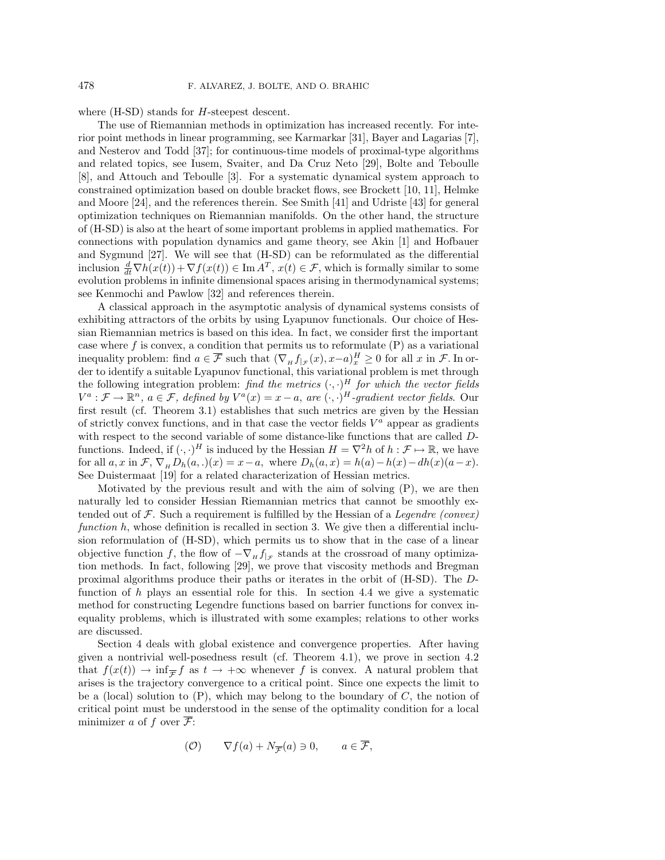where (H-SD) stands for *H*-steepest descent.

The use of Riemannian methods in optimization has increased recently. For interior point methods in linear programming, see Karmarkar [31], Bayer and Lagarias [7], and Nesterov and Todd [37]; for continuous-time models of proximal-type algorithms and related topics, see Iusem, Svaiter, and Da Cruz Neto [29], Bolte and Teboulle [8], and Attouch and Teboulle [3]. For a systematic dynamical system approach to constrained optimization based on double bracket flows, see Brockett [10, 11], Helmke and Moore [24], and the references therein. See Smith [41] and Udriste [43] for general optimization techniques on Riemannian manifolds. On the other hand, the structure of (H-SD) is also at the heart of some important problems in applied mathematics. For connections with population dynamics and game theory, see Akin [1] and Hofbauer and Sygmund [27]. We will see that (H-SD) can be reformulated as the differential inclusion  $\frac{d}{dt}\nabla h(x(t)) + \nabla f(x(t)) \in \text{Im } A^T$ ,  $x(t) \in \mathcal{F}$ , which is formally similar to some evolution problems in infinite dimensional spaces arising in thermodynamical systems; see Kenmochi and Pawlow [32] and references therein.

A classical approach in the asymptotic analysis of dynamical systems consists of exhibiting attractors of the orbits by using Lyapunov functionals. Our choice of Hessian Riemannian metrics is based on this idea. In fact, we consider first the important case where  $f$  is convex, a condition that permits us to reformulate  $(P)$  as a variational inequality problem: find  $a \in \overline{\mathcal{F}}$  such that  $(\nabla_H f_{|\mathcal{F}}(x), x-a)^H \geq 0$  for all x in  $\mathcal{F}$ . In order to identify a suitable Lyapunov functional, this variational problem is met through the following integration problem: find the metrics  $(\cdot, \cdot)^H$  for which the vector fields  $V^a: \mathcal{F} \to \mathbb{R}^n$ ,  $a \in \mathcal{F}$ , defined by  $V^a(x) = x - a$ , are  $(\cdot, \cdot)^H$ -gradient vector fields. Our first result (cf. Theorem 3.1) establishes that such metrics are given by the Hessian of strictly convex functions, and in that case the vector fields  $V^a$  appear as gradients with respect to the second variable of some distance-like functions that are called  $D$ functions. Indeed, if  $(\cdot, \cdot)^H$  is induced by the Hessian  $H = \nabla^2 h$  of  $h : \mathcal{F} \mapsto \mathbb{R}$ , we have for all  $a, x$  in  $\mathcal{F}, \nabla_{\mu} D_h(a,.)(x) = x-a$ , where  $D_h(a, x) = h(a) - h(x) - dh(x)(a-x)$ . See Duistermaat [19] for a related characterization of Hessian metrics.

Motivated by the previous result and with the aim of solving  $(P)$ , we are then naturally led to consider Hessian Riemannian metrics that cannot be smoothly extended out of  $\mathcal F$ . Such a requirement is fulfilled by the Hessian of a Legendre (convex) function  $h$ , whose definition is recalled in section 3. We give then a differential inclusion reformulation of (H-SD), which permits us to show that in the case of a linear objective function f, the flow of  $-\nabla_H f_{|\mathcal{F}}$  stands at the crossroad of many optimization methods. In fact, following [29], we prove that viscosity methods and Bregman proximal algorithms produce their paths or iterates in the orbit of (H-SD). The Dfunction of h plays an essential role for this. In section 4.4 we give a systematic method for constructing Legendre functions based on barrier functions for convex inequality problems, which is illustrated with some examples; relations to other works are discussed.

Section 4 deals with global existence and convergence properties. After having given a nontrivial well-posedness result (cf. Theorem 4.1), we prove in section 4.2 that  $f(x(t)) \to \inf_{\overline{\mathcal{F}}} f$  as  $t \to +\infty$  whenever f is convex. A natural problem that arises is the trajectory convergence to a critical point. Since one expects the limit to be a (local) solution to  $(P)$ , which may belong to the boundary of C, the notion of critical point must be understood in the sense of the optimality condition for a local minimizer a of f over  $\overline{\mathcal{F}}$ :

$$
(\mathcal{O}) \qquad \nabla f(a) + N_{\overline{\mathcal{F}}}(a) \ni 0, \qquad a \in \overline{\mathcal{F}},
$$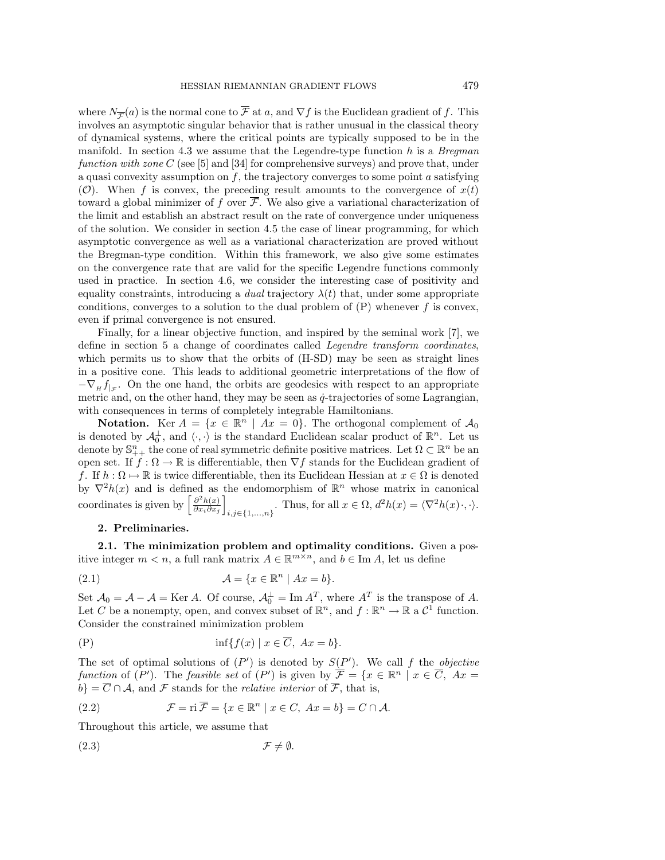where  $N_{\overline{\mathcal{F}}}(a)$  is the normal cone to  $\overline{\mathcal{F}}$  at a, and  $\nabla f$  is the Euclidean gradient of f. This involves an asymptotic singular behavior that is rather unusual in the classical theory of dynamical systems, where the critical points are typically supposed to be in the manifold. In section 4.3 we assume that the Legendre-type function  $h$  is a Bregman function with zone C (see [5] and [34] for comprehensive surveys) and prove that, under a quasi convexity assumption on  $f$ , the trajectory converges to some point  $a$  satisfying (O). When f is convex, the preceding result amounts to the convergence of  $x(t)$ toward a global minimizer of f over  $\overline{\mathcal{F}}$ . We also give a variational characterization of the limit and establish an abstract result on the rate of convergence under uniqueness of the solution. We consider in section 4.5 the case of linear programming, for which asymptotic convergence as well as a variational characterization are proved without the Bregman-type condition. Within this framework, we also give some estimates on the convergence rate that are valid for the specific Legendre functions commonly used in practice. In section 4.6, we consider the interesting case of positivity and equality constraints, introducing a *dual* trajectory  $\lambda(t)$  that, under some appropriate conditions, converges to a solution to the dual problem of  $(P)$  whenever f is convex, even if primal convergence is not ensured.

Finally, for a linear objective function, and inspired by the seminal work [7], we define in section 5 a change of coordinates called *Legendre transform coordinates*, which permits us to show that the orbits of (H-SD) may be seen as straight lines in a positive cone. This leads to additional geometric interpretations of the flow of  $-\nabla_{H} f_{|\tau}$ . On the one hand, the orbits are geodesics with respect to an appropriate metric and, on the other hand, they may be seen as  $\dot{q}$ -trajectories of some Lagrangian, with consequences in terms of completely integrable Hamiltonians.

**Notation.** Ker  $A = \{x \in \mathbb{R}^n \mid Ax = 0\}$ . The orthogonal complement of  $A_0$ is denoted by  $\mathcal{A}_0^{\perp}$ , and  $\langle \cdot, \cdot \rangle$  is the standard Euclidean scalar product of  $\mathbb{R}^n$ . Let us denote by  $\mathbb{S}^n_{++}$  the cone of real symmetric definite positive matrices. Let  $\Omega \subset \mathbb{R}^n$  be an open set. If  $f : \Omega \to \mathbb{R}$  is differentiable, then  $\nabla f$  stands for the Euclidean gradient of f. If  $h : \Omega \mapsto \mathbb{R}$  is twice differentiable, then its Euclidean Hessian at  $x \in \Omega$  is denoted by  $\nabla^2 h(x)$  and is defined as the endomorphism of  $\mathbb{R}^n$  whose matrix in canonical coordinates is given by  $\left[\frac{\partial^2 h(x)}{\partial x_i \partial x_j}\right]$  $i,j \in \{1,...,n\}$ . Thus, for all  $x \in \Omega$ ,  $d^2h(x) = \langle \nabla^2 h(x) \cdot, \cdot \rangle$ .

## **2. Preliminaries.**

**2.1. The minimization problem and optimality conditions.** Given a positive integer  $m < n$ , a full rank matrix  $A \in \mathbb{R}^{m \times n}$ , and  $b \in \text{Im } A$ , let us define

$$
(2.1) \qquad \qquad \mathcal{A} = \{x \in \mathbb{R}^n \mid Ax = b\}.
$$

Set  $\mathcal{A}_0 = \mathcal{A} - \mathcal{A} = \text{Ker } A$ . Of course,  $\mathcal{A}_0^{\perp} = \text{Im } A^T$ , where  $A^T$  is the transpose of A. Let C be a nonempty, open, and convex subset of  $\mathbb{R}^n$ , and  $f : \mathbb{R}^n \to \mathbb{R}$  a  $\mathcal{C}^1$  function. Consider the constrained minimization problem

(P) inf{f(x) | x ∈ C, Ax = b}.

The set of optimal solutions of  $(P')$  is denoted by  $S(P')$ . We call f the objective function of  $(P')$ . The feasible set of  $(P')$  is given by  $\overline{\mathcal{F}} = \{x \in \mathbb{R}^n \mid x \in \overline{C}, Ax =$  $b$ } =  $\overline{C} \cap A$ , and  $\mathcal F$  stands for the *relative interior* of  $\overline{\mathcal F}$ , that is,

(2.2) 
$$
\mathcal{F} = \text{ri}\,\overline{\mathcal{F}} = \{x \in \mathbb{R}^n \mid x \in C, \ Ax = b\} = C \cap \mathcal{A}.
$$

Throughout this article, we assume that

$$
(2.3) \t\t \mathcal{F} \neq \emptyset.
$$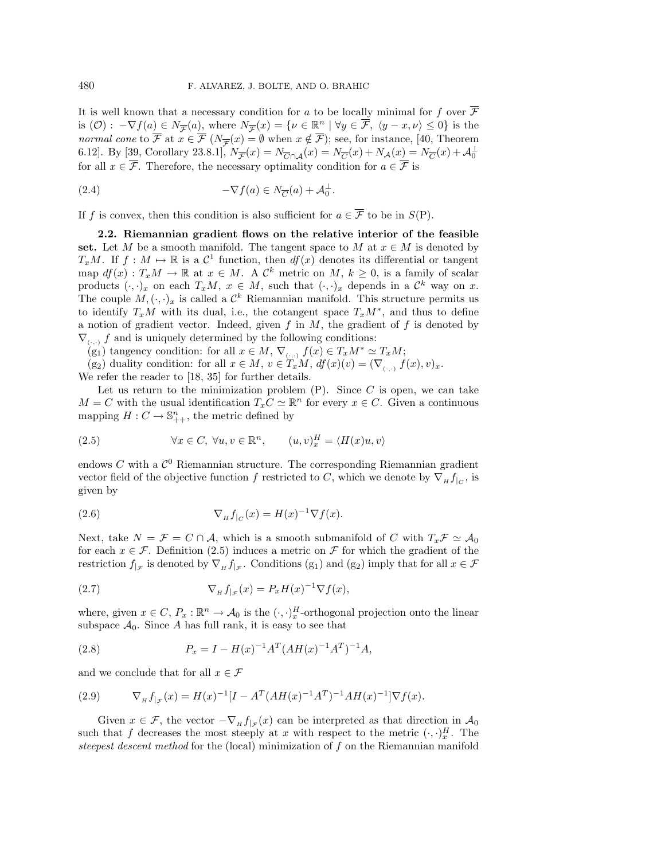It is well known that a necessary condition for a to be locally minimal for f over  $\mathcal F$ is  $(\mathcal{O})$  :  $-\nabla f(a) \in N_{\overline{\mathcal{F}}}(a)$ , where  $N_{\overline{\mathcal{F}}}(x) = \{ \nu \in \mathbb{R}^n \mid \forall y \in \overline{\mathcal{F}}, \langle y - x, \nu \rangle \leq 0 \}$  is the normal cone to  $\overline{\mathcal{F}}$  at  $x \in \overline{\mathcal{F}}$  ( $N_{\overline{\mathcal{F}}}(x) = \emptyset$  when  $x \notin \overline{\mathcal{F}}$ ); see, for instance, [40, Theorem 6.12]. By [39, Corollary 23.8.1],  $N_{\overline{\mathcal{F}}}(x) = N_{\overline{C} \cap \mathcal{A}}(x) = N_{\overline{C}}(x) + N_{\mathcal{A}}(x) = N_{\overline{C}}(x) + \mathcal{A}_0^{\perp}$ for all  $x \in \overline{\mathcal{F}}$ . Therefore, the necessary optimality condition for  $a \in \overline{\mathcal{F}}$  is

(2.4) 
$$
-\nabla f(a) \in N_{\overline{C}}(a) + A_0^{\perp}.
$$

If f is convex, then this condition is also sufficient for  $a \in \overline{\mathcal{F}}$  to be in  $S(P)$ .

**2.2. Riemannian gradient flows on the relative interior of the feasible** set. Let M be a smooth manifold. The tangent space to M at  $x \in M$  is denoted by  $T_xM$ . If  $f: M \mapsto \mathbb{R}$  is a  $\mathcal{C}^1$  function, then  $df(x)$  denotes its differential or tangent map  $df(x) : T_xM \to \mathbb{R}$  at  $x \in M$ . A  $\mathcal{C}^k$  metric on  $M, k \geq 0$ , is a family of scalar products  $(\cdot, \cdot)_x$  on each  $T_xM$ ,  $x \in M$ , such that  $(\cdot, \cdot)_x$  depends in a  $\mathcal{C}^k$  way on x. The couple  $M, (\cdot, \cdot)_x$  is called a  $\mathcal{C}^k$  Riemannian manifold. This structure permits us to identify  $T_xM$  with its dual, i.e., the cotangent space  $T_xM^*$ , and thus to define a notion of gradient vector. Indeed, given f in  $M$ , the gradient of f is denoted by  $\nabla_{(.,.)} f$  and is uniquely determined by the following conditions:

(g<sub>1</sub>) tangency condition: for all  $x \in M$ ,  $\nabla_{(.,.)} f(x) \in T_xM^* \simeq T_xM$ ;

(g<sub>2</sub>) duality condition: for all  $x \in M$ ,  $v \in T_xM$ ,  $df(x)(v) = (\nabla_{(.,.)} f(x), v)_x$ . We refer the reader to [18, 35] for further details.

Let us return to the minimization problem  $(P)$ . Since C is open, we can take  $M = C$  with the usual identification  $T_x C \simeq \mathbb{R}^n$  for every  $x \in C$ . Given a continuous mapping  $H: C \to \mathbb{S}_{++}^n$ , the metric defined by

(2.5) 
$$
\forall x \in C, \ \forall u, v \in \mathbb{R}^n, \qquad (u, v)_x^H = \langle H(x)u, v \rangle
$$

endows  $C$  with a  $\mathcal{C}^0$  Riemannian structure. The corresponding Riemannian gradient vector field of the objective function f restricted to C, which we denote by  $\nabla_H f_{|C}$ , is given by

(2.6) 
$$
\nabla_{H} f_{|C}(x) = H(x)^{-1} \nabla f(x).
$$

Next, take  $N = \mathcal{F} = C \cap \mathcal{A}$ , which is a smooth submanifold of C with  $T_x \mathcal{F} \simeq \mathcal{A}_0$ for each  $x \in \mathcal{F}$ . Definition (2.5) induces a metric on  $\mathcal F$  for which the gradient of the restriction  $f_{|\mathcal{F}}$  is denoted by  $\nabla_{H} f_{|\mathcal{F}}$ . Conditions (g<sub>1</sub>) and (g<sub>2</sub>) imply that for all  $x \in \mathcal{F}$ 

(2.7) 
$$
\nabla_H f_{|\mathcal{F}}(x) = P_x H(x)^{-1} \nabla f(x),
$$

where, given  $x \in C$ ,  $P_x : \mathbb{R}^n \to A_0$  is the  $(\cdot, \cdot)_x^H$ -orthogonal projection onto the linear subspace  $A_0$ . Since A has full rank, it is easy to see that

(2.8) 
$$
P_x = I - H(x)^{-1}A^T (AH(x)^{-1}A^T)^{-1}A,
$$

and we conclude that for all  $x \in \mathcal{F}$ 

(2.9) 
$$
\nabla_H f_{|\mathcal{F}}(x) = H(x)^{-1} [I - A^T (AH(x)^{-1} A^T)^{-1} AH(x)^{-1}] \nabla f(x).
$$

Given  $x \in \mathcal{F}$ , the vector  $-\nabla_{H} f_{|\mathcal{F}}(x)$  can be interpreted as that direction in  $\mathcal{A}_0$ such that f decreases the most steeply at x with respect to the metric  $(\cdot, \cdot)_{x}^{H}$ . The steepest descent method for the (local) minimization of f on the Riemannian manifold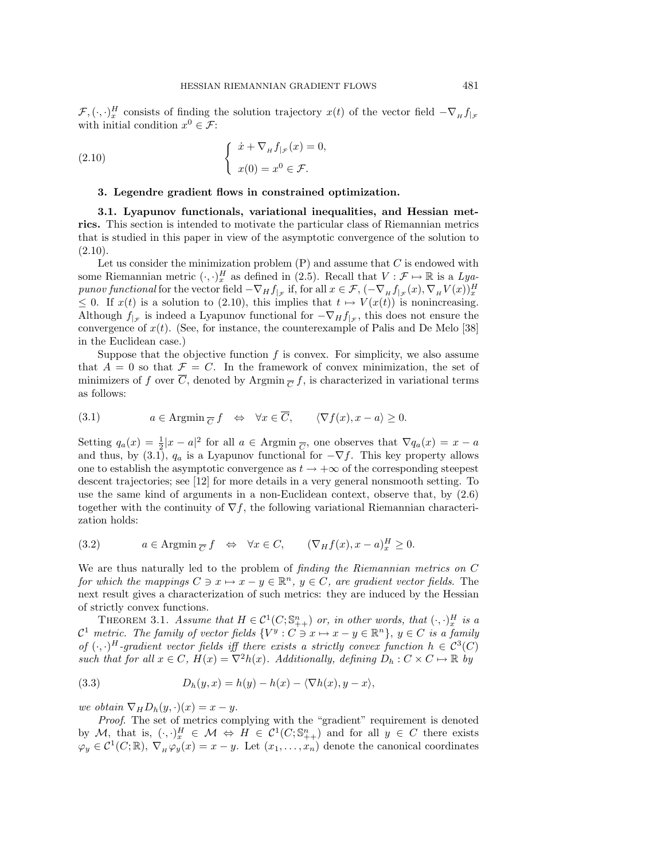$\mathcal{F}, (\cdot, \cdot)^H_x$  consists of finding the solution trajectory  $x(t)$  of the vector field  $-\nabla_H f_{|\mathcal{F}|}$ with initial condition  $x^0 \in \mathcal{F}$ :

(2.10) 
$$
\begin{cases} \dot{x} + \nabla_H f_{|\mathcal{F}}(x) = 0, \\ x(0) = x^0 \in \mathcal{F}. \end{cases}
$$

## **3. Legendre gradient flows in constrained optimization.**

**3.1. Lyapunov functionals, variational inequalities, and Hessian metrics.** This section is intended to motivate the particular class of Riemannian metrics that is studied in this paper in view of the asymptotic convergence of the solution to  $(2.10).$ 

Let us consider the minimization problem  $(P)$  and assume that C is endowed with some Riemannian metric  $(\cdot, \cdot)_x^H$  as defined in (2.5). Recall that  $V : \mathcal{F} \mapsto \mathbb{R}$  is a Lyapunov functional for the vector field  $-\nabla_H f_{|\mathcal{F}}$  if, for all  $x \in \mathcal{F}, (-\nabla_H f_{|\mathcal{F}}(x), \nabla_H V(x))_x^H$  $\leq$  0. If  $x(t)$  is a solution to (2.10), this implies that  $t \mapsto V(x(t))$  is nonincreasing. Although  $f_{\vert_{\mathcal{F}}}$  is indeed a Lyapunov functional for  $-\nabla_H f_{\vert_{\mathcal{F}}}$ , this does not ensure the convergence of  $x(t)$ . (See, for instance, the counterexample of Palis and De Melo [38] in the Euclidean case.)

Suppose that the objective function  $f$  is convex. For simplicity, we also assume that  $A = 0$  so that  $\mathcal{F} = C$ . In the framework of convex minimization, the set of minimizers of f over  $\overline{C}$ , denoted by Argmin  $_{\overline{C}} f$ , is characterized in variational terms as follows:

(3.1) 
$$
a \in \text{Argmin}_{\overline{C}} f \iff \forall x \in \overline{C}, \qquad \langle \nabla f(x), x - a \rangle \ge 0.
$$

Setting  $q_a(x) = \frac{1}{2}|x - a|^2$  for all  $a \in \text{Argmin}_{\overline{C}}$ , one observes that  $\nabla q_a(x) = x - a$ and thus, by (3.1),  $q_a$  is a Lyapunov functional for  $-\nabla f$ . This key property allows one to establish the asymptotic convergence as  $t \to +\infty$  of the corresponding steepest descent trajectories; see [12] for more details in a very general nonsmooth setting. To use the same kind of arguments in a non-Euclidean context, observe that, by (2.6) together with the continuity of  $\nabla f$ , the following variational Riemannian characterization holds:

(3.2) 
$$
a \in \text{Argmin}_{\overline{C}} f \iff \forall x \in C, \quad (\nabla_H f(x), x - a)^H_x \ge 0.
$$

We are thus naturally led to the problem of finding the Riemannian metrics on C for which the mappings  $C \ni x \mapsto x - y \in \mathbb{R}^n$ ,  $y \in C$ , are gradient vector fields. The next result gives a characterization of such metrics: they are induced by the Hessian of strictly convex functions.

THEOREM 3.1. Assume that  $H \in \mathcal{C}^1(C; \mathbb{S}_{++}^n)$  or, in other words, that  $(\cdot, \cdot)_x^H$  is a  $\mathcal{C}^1$  metric. The family of vector fields  $\{V^y : C \ni x \mapsto x - y \in \mathbb{R}^n\}$ ,  $y \in C$  is a family of  $(\cdot, \cdot)^H$ -gradient vector fields iff there exists a strictly convex function  $h \in C^3(C)$ such that for all  $x \in C$ ,  $H(x) = \nabla^2 h(x)$ . Additionally, defining  $D_h : C \times C \mapsto \mathbb{R}$  by

(3.3) 
$$
D_h(y, x) = h(y) - h(x) - \langle \nabla h(x), y - x \rangle,
$$

we obtain  $\nabla_H D_h(y, \cdot)(x) = x - y$ .

Proof. The set of metrics complying with the "gradient" requirement is denoted by M, that is,  $(\cdot, \cdot)_x^H \in \mathcal{M} \Leftrightarrow H \in \mathcal{C}^1(C; \mathbb{S}_{++}^n)$  and for all  $y \in C$  there exists  $\varphi_y \in C^1(C;\mathbb{R}), \nabla_{\mu} \varphi_y(x) = x - y$ . Let  $(x_1,\ldots,x_n)$  denote the canonical coordinates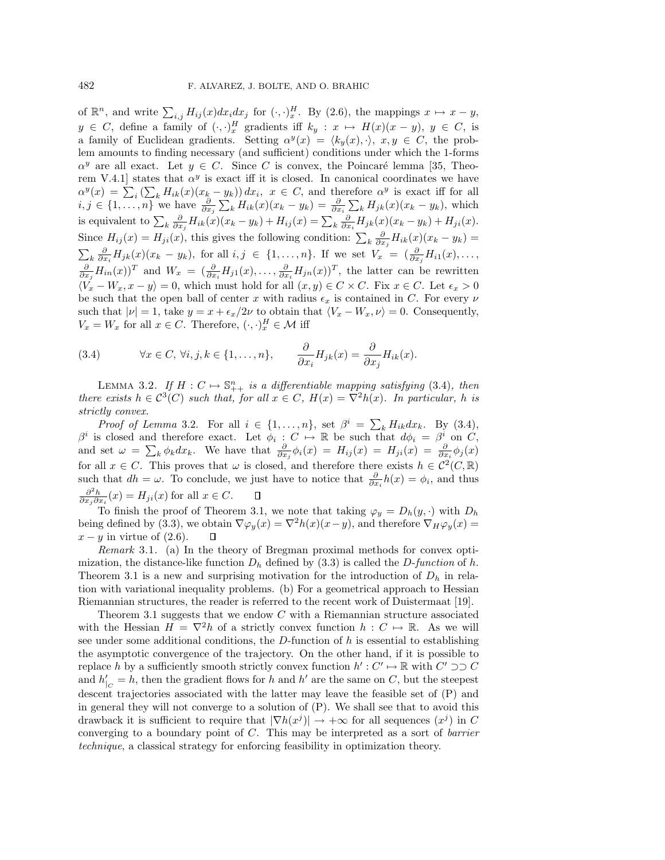of  $\mathbb{R}^n$ , and write  $\sum_{i,j} H_{ij}(x) dx_i dx_j$  for  $(\cdot, \cdot)_x^H$ . By (2.6), the mappings  $x \mapsto x - y$ ,  $y \in C$ , define a family of  $(\cdot, \cdot)_x^H$  gradients iff  $k_y : x \mapsto H(x)(x - y)$ ,  $y \in C$ , is a family of Euclidean gradients. Setting  $\alpha^y(x) = \langle k_y(x), \cdot \rangle$ ,  $x, y \in C$ , the problem amounts to finding necessary (and sufficient) conditions under which the 1-forms  $\alpha^y$  are all exact. Let  $y \in C$ . Since C is convex, the Poincaré lemma [35, Theorem V.4.1] states that  $\alpha^y$  is exact iff it is closed. In canonical coordinates we have  $\alpha^y(x) = \sum_i (\sum_k H_{ik}(x)(x_k - y_k)) dx_i, \; x \in C$ , and therefore  $\alpha^y$  is exact iff for all  $i, j \in \{1, \ldots, n\}$  we have  $\frac{\partial}{\partial x_j} \sum_k H_{ik}(x)(x_k - y_k) = \frac{\partial}{\partial x_i} \sum_k H_{jk}(x)(x_k - y_k)$ , which is equivalent to  $\sum_{k} \frac{\partial}{\partial x_j} H_{ik}(x)(x_k - y_k) + H_{ij}(x) = \sum_{k} \frac{\partial}{\partial x_i} H_{jk}(x)(x_k - y_k) + H_{ji}(x)$ . Since  $H_{ij}(x) = H_{ji}(x)$ , this gives the following condition:  $\sum_k \frac{\partial}{\partial x_j} H_{ik}(x)(x_k - y_k) =$  $\sum_{k} \frac{\partial}{\partial x_i} H_{jk}(x) (x_k - y_k)$ , for all  $i, j \in \{1, ..., n\}$ . If we set  $V_x = (\frac{\partial}{\partial x_j} H_{i1}(x), ..., \frac{\partial}{\partial x_i} H_{in}(x))^T$  and  $W_x = (\frac{\partial}{\partial x_i} H_{j1}(x), ..., \frac{\partial}{\partial x_i} H_{jn}(x))^T$ , the latter can be rewritten  $\langle V_x - W_x, x - y \rangle = 0$ , which must hold for all  $(x, y) \in C \times C$ . Fix  $x \in C$ . Let  $\epsilon_x > 0$ be such that the open ball of center x with radius  $\epsilon_x$  is contained in C. For every  $\nu$ such that  $|\nu| = 1$ , take  $y = x + \epsilon_x/2\nu$  to obtain that  $\langle V_x - W_x, \nu \rangle = 0$ . Consequently,  $V_x = W_x$  for all  $x \in C$ . Therefore,  $(\cdot, \cdot)_x^H \in \mathcal{M}$  iff

(3.4) 
$$
\forall x \in C, \forall i, j, k \in \{1, ..., n\}, \qquad \frac{\partial}{\partial x_i} H_{jk}(x) = \frac{\partial}{\partial x_j} H_{ik}(x).
$$

LEMMA 3.2. If  $H: C \mapsto \mathbb{S}_{++}^n$  is a differentiable mapping satisfying (3.4), then there exists  $h \in C^3(C)$  such that, for all  $x \in C$ ,  $H(x) = \nabla^2 h(x)$ . In particular, h is strictly convex.

*Proof of Lemma* 3.2. For all  $i \in \{1, ..., n\}$ , set  $\beta^i = \sum_k H_{ik} dx_k$ . By (3.4),  $\beta^i$  is closed and therefore exact. Let  $\phi_i : C \mapsto \mathbb{R}$  be such that  $d\phi_i = \beta^i$  on C, and set  $\omega = \sum_k \phi_k dx_k$ . We have that  $\frac{\partial}{\partial x_j} \phi_i(x) = H_{ij}(x) = H_{ji}(x) = \frac{\partial}{\partial x_i} \phi_j(x)$ for all  $x \in C$ . This proves that  $\omega$  is closed, and therefore there exists  $h \in C^2(C, \mathbb{R})$ such that  $dh = \omega$ . To conclude, we just have to notice that  $\frac{\partial}{\partial x_i} h(x) = \phi_i$ , and thus  $\frac{\partial^2 h}{\partial x_j \partial x_i}(x) = H_{ji}(x)$  for all  $x \in C$ .  $\Box$ 

To finish the proof of Theorem 3.1, we note that taking  $\varphi_y = D_h(y, \cdot)$  with  $D_h$ being defined by (3.3), we obtain  $\nabla \varphi_y(x) = \nabla^2 h(x)(x-y)$ , and therefore  $\nabla_H \varphi_y(x) =$  $x - y$  in virtue of  $(2.6)$ .  $\Box$ 

Remark 3.1. (a) In the theory of Bregman proximal methods for convex optimization, the distance-like function  $D_h$  defined by (3.3) is called the D-function of h. Theorem 3.1 is a new and surprising motivation for the introduction of  $D_h$  in relation with variational inequality problems. (b) For a geometrical approach to Hessian Riemannian structures, the reader is referred to the recent work of Duistermaat [19].

Theorem 3.1 suggests that we endow  $C$  with a Riemannian structure associated with the Hessian  $H = \nabla^2 h$  of a strictly convex function  $h : C \mapsto \mathbb{R}$ . As we will see under some additional conditions, the  $D$ -function of h is essential to establishing the asymptotic convergence of the trajectory. On the other hand, if it is possible to replace h by a sufficiently smooth strictly convex function  $h' : C' \mapsto \mathbb{R}$  with  $C' \supset \mathcal{C}$ and  $h'_{|C} = h$ , then the gradient flows for h and h' are the same on C, but the steepest descent trajectories associated with the latter may leave the feasible set of (P) and in general they will not converge to a solution of (P). We shall see that to avoid this drawback it is sufficient to require that  $|\nabla h(x^j)| \to +\infty$  for all sequences  $(x^j)$  in C converging to a boundary point of  $C$ . This may be interpreted as a sort of *barrier* technique, a classical strategy for enforcing feasibility in optimization theory.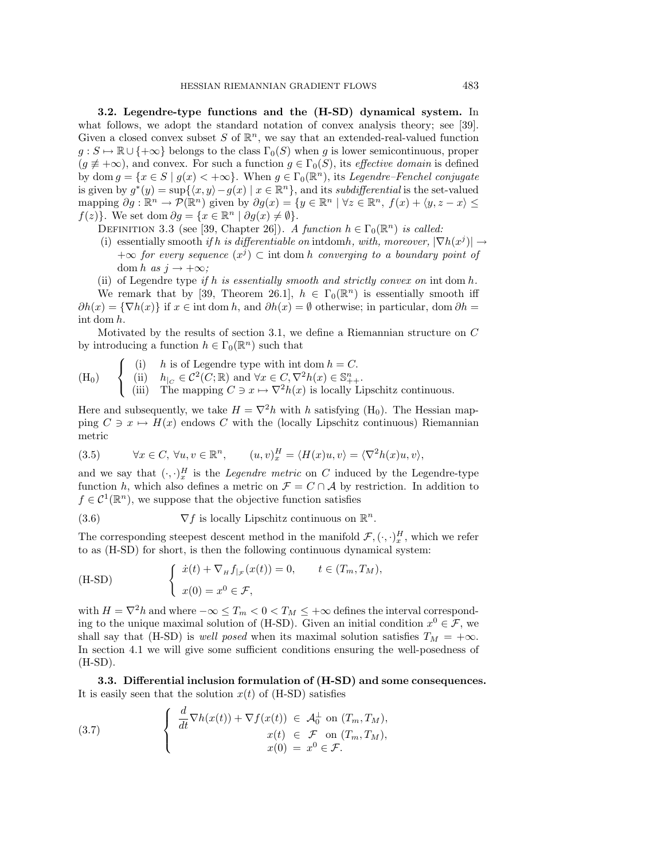**3.2. Legendre-type functions and the (H-SD) dynamical system.** In what follows, we adopt the standard notation of convex analysis theory; see [39]. Given a closed convex subset S of  $\mathbb{R}^n$ , we say that an extended-real-valued function  $g: S \mapsto \mathbb{R} \cup \{+\infty\}$  belongs to the class  $\Gamma_0(S)$  when g is lower semicontinuous, proper  $(g \neq +\infty)$ , and convex. For such a function  $g \in \Gamma_0(S)$ , its *effective domain* is defined by dom  $g = \{x \in S \mid g(x) < +\infty\}$ . When  $g \in \Gamma_0(\mathbb{R}^n)$ , its Legendre–Fenchel conjugate is given by  $g^*(y) = \sup\{\langle x, y\rangle - g(x) \mid x \in \mathbb{R}^n\}$ , and its subdifferential is the set-valued mapping  $\partial g : \mathbb{R}^n \to \mathcal{P}(\mathbb{R}^n)$  given by  $\partial g(x) = \{y \in \mathbb{R}^n \mid \forall z \in \mathbb{R}^n, f(x) + \langle y, z - x \rangle \leq$  $f(z)$ . We set dom  $\partial g = \{x \in \mathbb{R}^n \mid \partial g(x) \neq \emptyset\}.$ 

- DEFINITION 3.3 (see [39, Chapter 26]). A function  $h \in \Gamma_0(\mathbb{R}^n)$  is called:
- (i) essentially smooth if h is differentiable on intdomh, with, moreover,  $|\nabla h(x^j)| \rightarrow$  $+\infty$  for every sequence  $(x^{j}) \subset \text{int dom } h$  converging to a boundary point of dom h as  $j \rightarrow +\infty$ ;
- (ii) of Legendre type if h is essentially smooth and strictly convex on int dom  $h$ .

We remark that by [39, Theorem 26.1],  $h \in \Gamma_0(\mathbb{R}^n)$  is essentially smooth iff  $\partial h(x) = \{\nabla h(x)\}\$  if  $x \in \text{int dom } h$ , and  $\partial h(x) = \emptyset$  otherwise; in particular, dom  $\partial h =$ int dom h.

Motivated by the results of section 3.1, we define a Riemannian structure on C by introducing a function  $h \in \Gamma_0(\mathbb{R}^n)$  such that

 $(H_0)$  $\sqrt{ }$  $\overline{J}$  $\sqrt{2}$ (i) h is of Legendre type with int dom  $h = C$ . (ii)  $h_{|C} \in \mathcal{C}^2(C; \mathbb{R})$  and  $\forall x \in C, \nabla^2 h(x) \in \mathbb{S}_{++}^n$ . (iii) The mapping  $C \ni x \mapsto \nabla^2 h(x)$  is locally Lipschitz continuous.

Here and subsequently, we take  $H = \nabla^2 h$  with h satisfying (H<sub>0</sub>). The Hessian mapping  $C \ni x \mapsto H(x)$  endows C with the (locally Lipschitz continuous) Riemannian metric

(3.5) 
$$
\forall x \in C, \ \forall u, v \in \mathbb{R}^n, \qquad (u, v)_x^H = \langle H(x)u, v \rangle = \langle \nabla^2 h(x)u, v \rangle,
$$

and we say that  $(\cdot, \cdot)^H_x$  is the *Legendre metric* on C induced by the Legendre-type function h, which also defines a metric on  $\mathcal{F} = C \cap \mathcal{A}$  by restriction. In addition to  $f \in \mathcal{C}^1(\mathbb{R}^n)$ , we suppose that the objective function satisfies

(3.6)  $\nabla f$  is locally Lipschitz continuous on  $\mathbb{R}^n$ .

The corresponding steepest descent method in the manifold  $\mathcal{F}, (\cdot, \cdot)^H_x$ , which we refer to as (H-SD) for short, is then the following continuous dynamical system:

(H-SD) 
$$
\begin{cases} \dot{x}(t) + \nabla_H f_{|\mathcal{F}}(x(t)) = 0, & t \in (T_m, T_M), \\ x(0) = x^0 \in \mathcal{F}, \end{cases}
$$

with  $H=\nabla^2 h$  and where  $-\infty\leq T_m< 0 < T_M\leq +\infty$  defines the interval corresponding to the unique maximal solution of (H-SD). Given an initial condition  $x^0 \in \mathcal{F}$ , we shall say that (H-SD) is *well posed* when its maximal solution satisfies  $T_M = +\infty$ . In section 4.1 we will give some sufficient conditions ensuring the well-posedness of (H-SD).

**3.3. Differential inclusion formulation of (H-SD) and some consequences.** It is easily seen that the solution  $x(t)$  of (H-SD) satisfies

(3.7) 
$$
\begin{cases} \frac{d}{dt} \nabla h(x(t)) + \nabla f(x(t)) \in \mathcal{A}_0^{\perp} \text{ on } (T_m, T_M), \\ x(t) \in \mathcal{F} \text{ on } (T_m, T_M), \\ x(0) = x^0 \in \mathcal{F}. \end{cases}
$$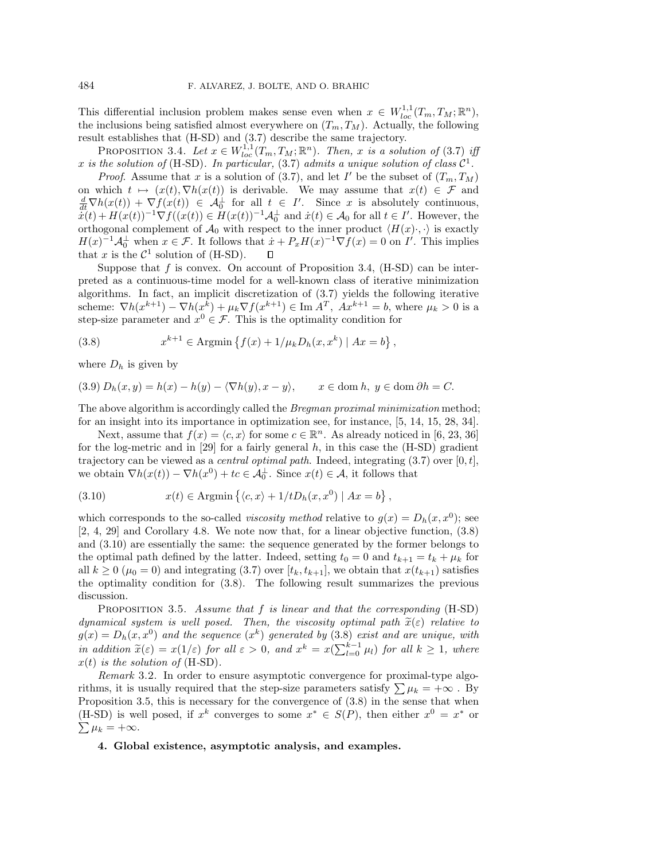This differential inclusion problem makes sense even when  $x \in W_{loc}^{1,1}(T_m,T_M;\mathbb{R}^n)$ , the inclusions being satisfied almost everywhere on  $(T_m, T_M)$ . Actually, the following result establishes that (H-SD) and (3.7) describe the same trajectory.

PROPOSITION 3.4. Let  $x \in W^{1,1}_{loc}(T_m,T_M;\mathbb{R}^n)$ . Then, x is a solution of (3.7) iff x is the solution of (H-SD). In particular, (3.7) admits a unique solution of class  $C^1$ .

*Proof.* Assume that x is a solution of (3.7), and let I' be the subset of  $(T_m, T_M)$ on which  $t \mapsto (x(t), \nabla h(x(t))$  is derivable. We may assume that  $x(t) \in \mathcal{F}$  and  $\frac{d}{dt}\nabla h(x(t)) + \nabla f(x(t)) \in \mathcal{A}_0^{\perp}$  for all  $t \in I'$ . Since x is absolutely continuous,  $\tilde{\dot{x}(t)} + H(x(t))^{-1} \nabla f((x(t))) \in H(x(t))^{-1} \mathcal{A}_0^{\perp}$  and  $\dot{x}(t) \in \mathcal{A}_0$  for all  $t \in I'$ . However, the orthogonal complement of  $\mathcal{A}_0$  with respect to the inner product  $\langle H(x) \cdot, \cdot \rangle$  is exactly  $H(x)^{-1} \mathcal{A}_0^{\perp}$  when  $x \in \mathcal{F}$ . It follows that  $\dot{x} + P_x H(x)^{-1} \nabla f(x) = 0$  on I'. This implies that x is the  $\mathcal{C}^1$  solution of (H-SD).  $\Box$ 

Suppose that  $f$  is convex. On account of Proposition 3.4,  $(H-SD)$  can be interpreted as a continuous-time model for a well-known class of iterative minimization algorithms. In fact, an implicit discretization of (3.7) yields the following iterative scheme:  $\nabla h(x^{k+1}) - \nabla h(x^k) + \mu_k \nabla f(x^{k+1}) \in \text{Im } \overline{A^T}, \overline{A}x^{k+1} = b$ , where  $\mu_k > 0$  is a step-size parameter and  $x^0 \in \mathcal{F}$ . This is the optimality condition for

(3.8) 
$$
x^{k+1} \in \text{Argmin}\left\{f(x) + 1/\mu_k D_h(x, x^k) \mid Ax = b\right\},
$$

where  $D_h$  is given by

(3.9)  $D_h(x, y) = h(x) - h(y) - \langle \nabla h(y), x - y \rangle$  $x \in \text{dom } h, y \in \text{dom } \partial h = C.$ 

The above algorithm is accordingly called the Bregman proximal minimization method; for an insight into its importance in optimization see, for instance, [5, 14, 15, 28, 34].

Next, assume that  $f(x) = \langle c, x \rangle$  for some  $c \in \mathbb{R}^n$ . As already noticed in [6, 23, 36] for the log-metric and in [29] for a fairly general  $h$ , in this case the  $(H-SD)$  gradient trajectory can be viewed as a *central optimal path*. Indeed, integrating  $(3.7)$  over  $[0, t]$ , we obtain  $\nabla h(x(t)) - \nabla h(x^0) + tc \in \mathcal{A}_0^{\perp}$ . Since  $x(t) \in \mathcal{A}$ , it follows that

(3.10) 
$$
x(t) \in \text{Argmin}\left\{ \langle c, x \rangle + 1/tD_h(x, x^0) \mid Ax = b \right\},
$$

which corresponds to the so-called *viscosity method* relative to  $g(x) = D_h(x, x^0)$ ; see [2, 4, 29] and Corollary 4.8. We note now that, for a linear objective function, (3.8) and (3.10) are essentially the same: the sequence generated by the former belongs to the optimal path defined by the latter. Indeed, setting  $t_0 = 0$  and  $t_{k+1} = t_k + \mu_k$  for all  $k \geq 0$  ( $\mu_0 = 0$ ) and integrating (3.7) over  $[t_k, t_{k+1}]$ , we obtain that  $x(t_{k+1})$  satisfies the optimality condition for (3.8). The following result summarizes the previous discussion.

PROPOSITION 3.5. Assume that  $f$  is linear and that the corresponding  $(H-SD)$ dynamical system is well posed. Then, the viscosity optimal path  $\tilde{x}(\varepsilon)$  relative to  $g(x) = D_h(x, x^0)$  and the sequence  $(x^k)$  generated by  $(3.8)$  exist and are unique, with in addition  $\tilde{x}(\varepsilon) = x(1/\varepsilon)$  for all  $\varepsilon > 0$ , and  $x^k = x(\sum_{l=0}^{k-1} \mu_l)$  for all  $k \ge 1$ , where  $x(t)$  is the solution of (H-SD).

Remark 3.2. In order to ensure asymptotic convergence for proximal-type algorithms, it is usually required that the step-size parameters satisfy  $\sum \mu_k = +\infty$ . By Proposition 3.5, this is necessary for the convergence of  $(3.8)$  in the sense that when (H-SD) is well posed, if  $x^k$  converges to some  $x^* \in S(P)$ , then either  $x^0 = x^*$  or  $\sum \mu_k = +\infty.$ 

# **4. Global existence, asymptotic analysis, and examples.**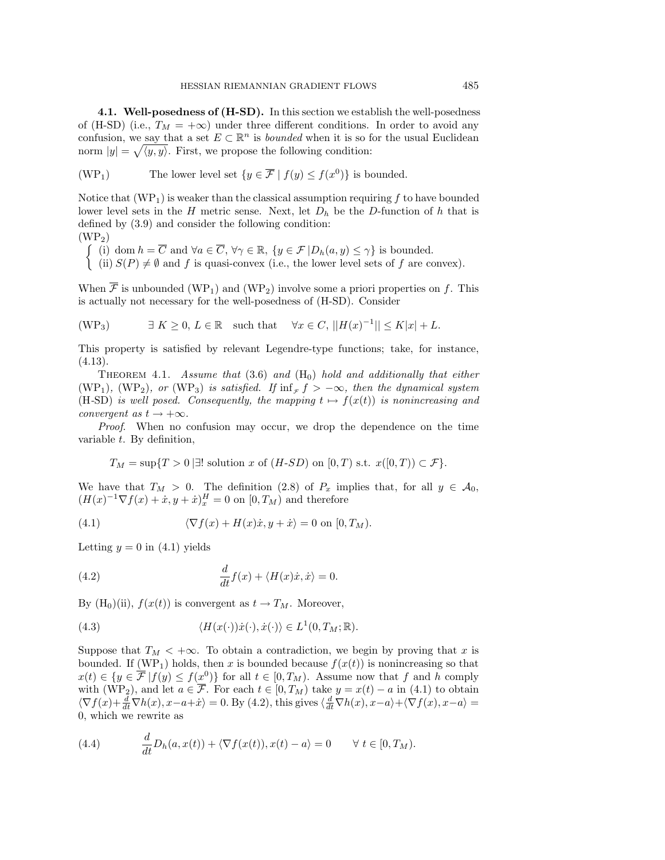**4.1. Well-posedness of (H-SD).** In this section we establish the well-posedness of (H-SD) (i.e.,  $T_M = +\infty$ ) under three different conditions. In order to avoid any confusion, we say that a set  $E \subset \mathbb{R}^n$  is *bounded* when it is so for the usual Euclidean norm  $|y| = \sqrt{\langle y, y \rangle}$ . First, we propose the following condition:

(WP<sub>1</sub>) The lower level set 
$$
\{y \in \overline{\mathcal{F}} \mid f(y) \le f(x^0)\}
$$
 is bounded.

Notice that  $(WP_1)$  is weaker than the classical assumption requiring f to have bounded lower level sets in the H metric sense. Next, let  $D<sub>h</sub>$  be the D-function of h that is defined by (3.9) and consider the following condition:  $(WP<sub>2</sub>)$ 

$$
\begin{cases}\n(i) \text{ dom } h = \overline{C} \text{ and } \forall a \in \overline{C}, \forall \gamma \in \mathbb{R}, \{y \in \mathcal{F} | D_h(a, y) \leq \gamma\} \text{ is bounded.} \\
(ii) S(P) \neq \emptyset \text{ and } f \text{ is quasi-convex (i.e., the lower level sets of } f \text{ are convex}).\n\end{cases}
$$

When  $\overline{\mathcal{F}}$  is unbounded (WP<sub>1</sub>) and (WP<sub>2</sub>) involve some a priori properties on f. This is actually not necessary for the well-posedness of (H-SD). Consider

$$
(\text{WP}_3) \qquad \exists K \ge 0, L \in \mathbb{R} \quad \text{such that} \quad \forall x \in C, ||H(x)^{-1}|| \le K|x| + L.
$$

This property is satisfied by relevant Legendre-type functions; take, for instance,  $(4.13).$ 

THEOREM 4.1. Assume that (3.6) and ( $H_0$ ) hold and additionally that either (WP<sub>1</sub>), (WP<sub>2</sub>), or (WP<sub>3</sub>) is satisfied. If  $\inf_{\tau}$  f >  $-\infty$ , then the dynamical system (H-SD) is well posed. Consequently, the mapping  $t \mapsto f(x(t))$  is nonincreasing and convergent as  $t \to +\infty$ .

Proof. When no confusion may occur, we drop the dependence on the time variable t. By definition,

$$
T_M = \sup\{T > 0 \mid \exists!
$$
 solution  $x$  of  $(H\text{-}SD)$  on  $[0,T)$  s.t.  $x([0,T)) \subset \mathcal{F}\}.$ 

We have that  $T_M > 0$ . The definition (2.8) of  $P_x$  implies that, for all  $y \in \mathcal{A}_0$ ,  $(H(x)^{-1}\nabla f(x) + \dot{x}, y + \dot{x})_x^H = 0$  on  $[0, T_M)$  and therefore

(4.1) 
$$
\langle \nabla f(x) + H(x)\dot{x}, y + \dot{x} \rangle = 0 \text{ on } [0, T_M).
$$

Letting  $y = 0$  in (4.1) yields

(4.2) 
$$
\frac{d}{dt}f(x) + \langle H(x)\dot{x}, \dot{x}\rangle = 0.
$$

By (H<sub>0</sub>)(ii),  $f(x(t))$  is convergent as  $t \to T_M$ . Moreover,

(4.3) 
$$
\langle H(x(\cdot))\dot{x}(\cdot), \dot{x}(\cdot) \rangle \in L^1(0, T_M; \mathbb{R}).
$$

Suppose that  $T_M < +\infty$ . To obtain a contradiction, we begin by proving that x is bounded. If (WP<sub>1</sub>) holds, then x is bounded because  $f(x(t))$  is nonincreasing so that  $x(t) \in \{y \in \overline{\mathcal{F}} | f(y) \le f(x^0) \}$  for all  $t \in [0, T_M)$ . Assume now that f and h comply with (WP<sub>2</sub>), and let  $a \in \overline{\mathcal{F}}$ . For each  $t \in [0, T_M)$  take  $y = x(t) - a$  in (4.1) to obtain  $\langle \nabla f(x) + \frac{d}{dt} \nabla h(x), x - a + \dot{x} \rangle = 0$ . By (4.2), this gives  $\langle \frac{d}{dt} \nabla h(x), x - a \rangle + \langle \nabla f(x), x - a \rangle =$ 0, which we rewrite as

(4.4) 
$$
\frac{d}{dt}D_h(a,x(t)) + \langle \nabla f(x(t)), x(t) - a \rangle = 0 \quad \forall \ t \in [0, T_M).
$$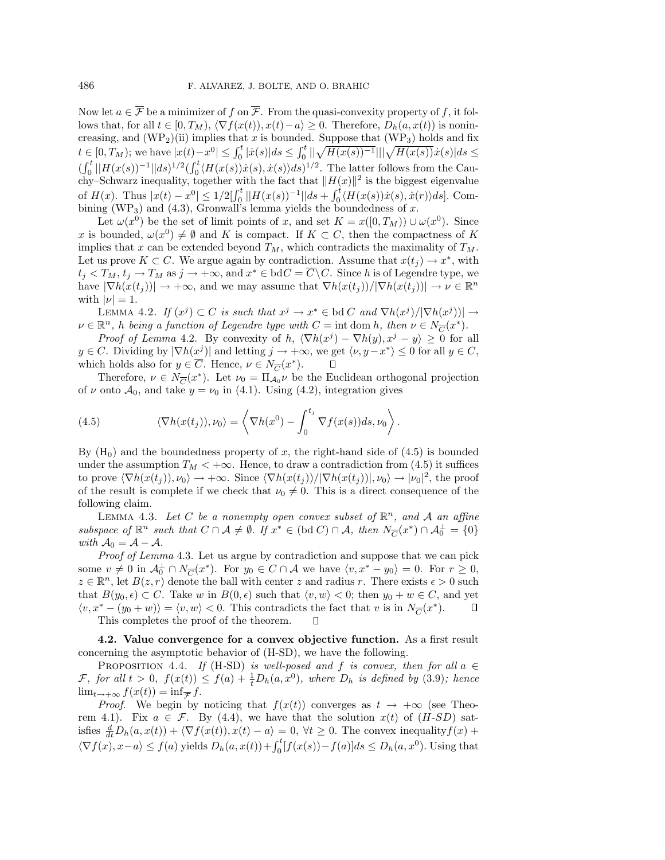Now let  $a \in \overline{\mathcal{F}}$  be a minimizer of f on  $\overline{\mathcal{F}}$ . From the quasi-convexity property of f, it follows that, for all  $t \in [0, T_M)$ ,  $\langle \nabla f(x(t)), x(t) - a \rangle \geq 0$ . Therefore,  $D_h(a, x(t))$  is nonincreasing, and  $(WP_2)(ii)$  implies that x is bounded. Suppose that  $(WP_3)$  holds and fix  $t \in [0, T_M)$ ; we have  $|x(t) - x^0| \leq \int_0^t |\dot{x}(s)| ds \leq \int_0^t ||\sqrt{H(x(s))^{-1}}|| |\sqrt{H(x(s))}\dot{x}(s)| ds \leq$  $\left(\int_0^t ||H(x(s))^{-1}||ds\right)^{1/2}\left(\int_0^t \langle H(x(s))\dot{x}(s),\dot{x}(s)\rangle ds\right)^{1/2}$ . The latter follows from the Cauchy–Schwarz inequality, together with the fact that  $||H(x)||^2$  is the biggest eigenvalue of  $H(x)$ . Thus  $|x(t) - x^0| \leq 1/2 \left[\int_0^t ||H(x(s))^{-1}||ds + \int_0^t \langle H(x(s))\dot{x}(s), \dot{x}(r) \rangle ds\right]$ . Combining (WP<sub>3</sub>) and (4.3), Gronwall's lemma yields the boundedness of x.

Let  $\omega(x^0)$  be the set of limit points of x, and set  $K = x([0,T_M)) \cup \omega(x^0)$ . Since x is bounded,  $\omega(x^0) \neq \emptyset$  and K is compact. If  $K \subset C$ , then the compactness of K implies that x can be extended beyond  $T_M$ , which contradicts the maximality of  $T_M$ . Let us prove  $K \subset C$ . We argue again by contradiction. Assume that  $x(t_i) \to x^*$ , with  $t_j < T_M$ ,  $t_j \to T_M$  as  $j \to +\infty$ , and  $x^* \in \text{bd } C = \overline{C} \backslash C$ . Since h is of Legendre type, we have  $|\nabla h(x(t_i))| \to +\infty$ , and we may assume that  $\nabla h(x(t_i))/|\nabla h(x(t_i))| \to \nu \in \mathbb{R}^n$ with  $|\nu|=1$ .

LEMMA 4.2. If  $(x^j) \subset C$  is such that  $x^j \to x^* \in$  bd C and  $\nabla h(x^j)/|\nabla h(x^j)| \to$  $\nu \in \mathbb{R}^n$ , h being a function of Legendre type with  $C = \text{int dom } h$ , then  $\nu \in N_{\overline{C}}(x^*)$ .

*Proof of Lemma* 4.2. By convexity of h,  $\langle \nabla h(x^j) - \nabla h(y), x^j - y \rangle \geq 0$  for all  $y \in C$ . Dividing by  $|\nabla h(x^j)|$  and letting  $j \to +\infty$ , we get  $\langle \nu, y - x^* \rangle \leq 0$  for all  $y \in C$ , which holds also for  $y \in \overline{C}$ . Hence,  $\nu \in N_{\overline{C}}(x^*)$ .  $\Box$ 

Therefore,  $\nu \in N_{\overline{C}}(x^*)$ . Let  $\nu_0 = \Pi_{\mathcal{A}_0} \nu$  be the Euclidean orthogonal projection of  $\nu$  onto  $\mathcal{A}_0$ , and take  $y = \nu_0$  in (4.1). Using (4.2), integration gives

(4.5) 
$$
\langle \nabla h(x(t_j)), \nu_0 \rangle = \left\langle \nabla h(x^0) - \int_0^{t_j} \nabla f(x(s)) ds, \nu_0 \right\rangle.
$$

By  $(H_0)$  and the boundedness property of x, the right-hand side of  $(4.5)$  is bounded under the assumption  $T_M < +\infty$ . Hence, to draw a contradiction from (4.5) it suffices to prove  $\langle \nabla h(x(t_j)), \nu_0 \rangle \to +\infty$ . Since  $\langle \nabla h(x(t_j)) / |\nabla h(x(t_j))|, \nu_0 \rangle \to |\nu_0|^2$ , the proof of the result is complete if we check that  $\nu_0 \neq 0$ . This is a direct consequence of the following claim.

LEMMA 4.3. Let C be a nonempty open convex subset of  $\mathbb{R}^n$ , and A an affine subspace of  $\mathbb{R}^n$  such that  $C \cap \mathcal{A} \neq \emptyset$ . If  $x^* \in (\text{bd } C) \cap \mathcal{A}$ , then  $N_{\overline{C}}(x^*) \cap \mathcal{A}_0^{\perp} = \{0\}$ with  $\mathcal{A}_0 = \mathcal{A} - \mathcal{A}$ .

Proof of Lemma 4.3. Let us argue by contradiction and suppose that we can pick some  $v \neq 0$  in  $\mathcal{A}_0^{\perp} \cap N_{\overline{C}}(x^*)$ . For  $y_0 \in C \cap \mathcal{A}$  we have  $\langle v, x^* - y_0 \rangle = 0$ . For  $r \geq 0$ ,  $z \in \mathbb{R}^n$ , let  $B(z, r)$  denote the ball with center z and radius r. There exists  $\epsilon > 0$  such that  $B(y_0, \epsilon) \subset C$ . Take w in  $B(0, \epsilon)$  such that  $\langle v, w \rangle < 0$ ; then  $y_0 + w \in C$ , and yet  $\langle v, x^* - (y_0 + w) \rangle = \langle v, w \rangle < 0$ . This contradicts the fact that v is in  $N_{\overline{C}}(x^*)$ . П This completes the proof of the theorem.

**4.2. Value convergence for a convex objective function.** As a first result concerning the asymptotic behavior of (H-SD), we have the following.

PROPOSITION 4.4. If (H-SD) is well-posed and f is convex, then for all  $a \in$ F, for all  $t > 0$ ,  $f(x(t)) \le f(a) + \frac{1}{t}D_h(a, x^0)$ , where  $D_h$  is defined by (3.9); hence  $\lim_{t\to+\infty} f(x(t)) = \inf_{\overline{\mathcal{F}}} f.$ 

*Proof.* We begin by noticing that  $f(x(t))$  converges as  $t \to +\infty$  (see Theorem 4.1). Fix  $a \in \mathcal{F}$ . By (4.4), we have that the solution  $x(t)$  of  $(H-SD)$  satisfies  $\frac{d}{dt}D_h(a, x(t)) + \langle \nabla f(x(t)), x(t) - a \rangle = 0, \forall t \ge 0$ . The convex inequality  $f(x) +$  $\langle \nabla f(x), x-a \rangle \leq f(a)$  yields  $D_h(a, x(t)) + \int_0^t [f(x(s)) - f(a)]ds \leq D_h(a, x^0)$ . Using that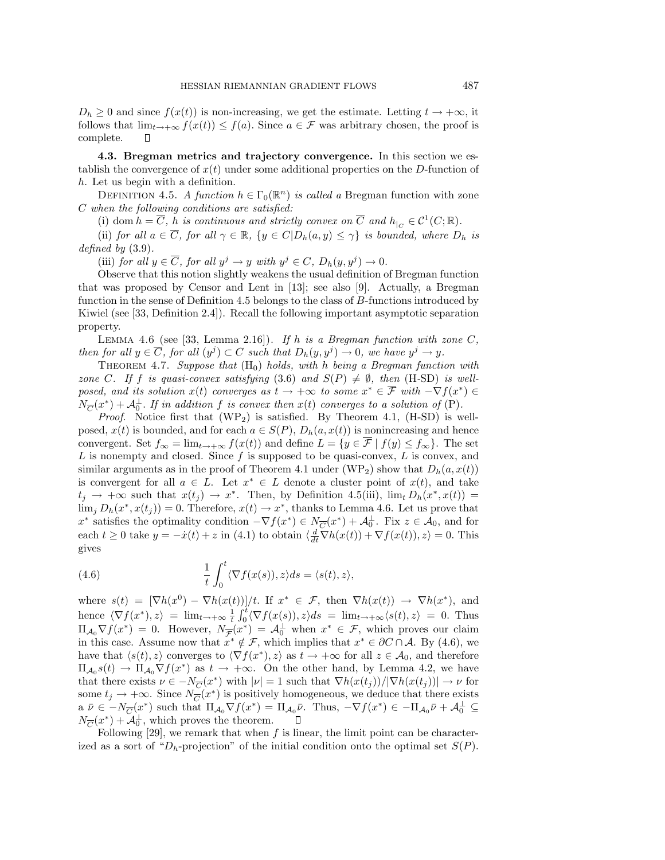$D_h \geq 0$  and since  $f(x(t))$  is non-increasing, we get the estimate. Letting  $t \to +\infty$ , it follows that  $\lim_{t\to+\infty} f(x(t)) \leq f(a)$ . Since  $a \in \mathcal{F}$  was arbitrary chosen, the proof is complete.  $\Box$ 

**4.3. Bregman metrics and trajectory convergence.** In this section we establish the convergence of  $x(t)$  under some additional properties on the D-function of h. Let us begin with a definition.

DEFINITION 4.5. A function  $h \in \Gamma_0(\mathbb{R}^n)$  is called a Bregman function with zone C when the following conditions are satisfied:

(i) dom  $h = \overline{C}$ , h is continuous and strictly convex on  $\overline{C}$  and  $h_{\vert_C} \in \mathcal{C}^1(C;\mathbb{R})$ .

(ii) for all  $a \in \overline{C}$ , for all  $\gamma \in \mathbb{R}$ ,  $\{y \in C | D_h(a, y) \leq \gamma\}$  is bounded, where  $D_h$  is defined by  $(3.9)$ .

(iii) for all  $y \in \overline{C}$ , for all  $y^j \to y$  with  $y^j \in C$ ,  $D_h(y, y^j) \to 0$ .

Observe that this notion slightly weakens the usual definition of Bregman function that was proposed by Censor and Lent in [13]; see also [9]. Actually, a Bregman function in the sense of Definition 4.5 belongs to the class of B-functions introduced by Kiwiel (see [33, Definition 2.4]). Recall the following important asymptotic separation property.

LEMMA 4.6 (see [33, Lemma 2.16]). If h is a Bregman function with zone  $C$ , then for all  $y \in \overline{C}$ , for all  $(y^j) \subset C$  such that  $D_h(y, y^j) \to 0$ , we have  $y^j \to y$ .

THEOREM 4.7. Suppose that  $(H_0)$  holds, with h being a Bregman function with zone C. If f is quasi-convex satisfying (3.6) and  $S(P) \neq \emptyset$ , then (H-SD) is wellposed, and its solution  $x(t)$  converges as  $t \to +\infty$  to some  $x^* \in \overline{\mathcal{F}}$  with  $-\nabla f(x^*) \in$  $N_{\overline{C}}(x^*) + A_0^{\perp}$ . If in addition f is convex then  $x(t)$  converges to a solution of (P).

*Proof.* Notice first that  $(WP_2)$  is satisfied. By Theorem 4.1,  $(H-SD)$  is wellposed,  $x(t)$  is bounded, and for each  $a \in S(P)$ ,  $D_h(a, x(t))$  is nonincreasing and hence convergent. Set  $f_{\infty} = \lim_{t \to +\infty} f(x(t))$  and define  $L = \{y \in \overline{\mathcal{F}} \mid f(y) \leq f_{\infty}\}\.$  The set  $L$  is nonempty and closed. Since  $f$  is supposed to be quasi-convex,  $L$  is convex, and similar arguments as in the proof of Theorem 4.1 under (WP<sub>2</sub>) show that  $D_h(a, x(t))$ is convergent for all  $a \in L$ . Let  $x^* \in L$  denote a cluster point of  $x(t)$ , and take  $t_i \rightarrow +\infty$  such that  $x(t_i) \rightarrow x^*$ . Then, by Definition 4.5(iii),  $\lim_{t} D_h(x^*, x(t)) =$  $\lim_{i} D_h(x^*, x(t_i)) = 0.$  Therefore,  $x(t) \to x^*$ , thanks to Lemma 4.6. Let us prove that x<sup>∗</sup> satisfies the optimality condition  $-\nabla f(x^*) \in N_{\overline{C}}(x^*) + A_0^{\perp}$ . Fix  $z \in A_0$ , and for each  $t \geq 0$  take  $y = -\dot{x}(t) + z$  in (4.1) to obtain  $\langle \frac{d}{dt} \nabla h(x(t)) + \nabla f(x(t)), z \rangle = 0$ . This gives

(4.6) 
$$
\frac{1}{t} \int_0^t \langle \nabla f(x(s)), z \rangle ds = \langle s(t), z \rangle,
$$

where  $s(t)=[\nabla h(x^{0}) - \nabla h(x(t))] /t$ . If  $x^* \in \mathcal{F}$ , then  $\nabla h(x(t)) \to \nabla h(x^*)$ , and hence  $\langle \nabla f(x^*), z \rangle = \lim_{t \to +\infty} \frac{1}{t} \int_0^t \langle \nabla f(x(s)), z \rangle ds = \lim_{t \to +\infty} \langle s(t), z \rangle = 0$ . Thus  $\Pi_{\mathcal{A}_0} \nabla f(x^*) = 0$ . However,  $N_{\overline{\mathcal{F}}}(x^*) = \mathcal{A}_0^{\perp}$  when  $x^* \in \mathcal{F}$ , which proves our claim in this case. Assume now that  $x^* \notin \mathcal{F}$ , which implies that  $x^* \in \partial C \cap A$ . By (4.6), we have that  $\langle s(t), z \rangle$  converges to  $\langle \nabla f(x^*), z \rangle$  as  $t \to +\infty$  for all  $z \in A_0$ , and therefore  $\Pi_{\mathcal{A}_0} s(t) \to \Pi_{\mathcal{A}_0} \nabla f(x^*)$  as  $t \to +\infty$ . On the other hand, by Lemma 4.2, we have that there exists  $\nu \in -N_{\overline{C}}(x^*)$  with  $|\nu|=1$  such that  $\nabla h(x(t_i))/|\nabla h(x(t_i))| \to \nu$  for some  $t_j \to +\infty$ . Since  $N_{\overline{C}}(x^*)$  is positively homogeneous, we deduce that there exists  $a \bar{\nu} \in -N_{\overline{C}}(x^*)$  such that  $\Pi_{\mathcal{A}_0} \nabla f(x^*) = \Pi_{\mathcal{A}_0} \bar{\nu}$ . Thus,  $-\nabla f(x^*) \in -\Pi_{\mathcal{A}_0} \bar{\nu} + \mathcal{A}_0^{\perp} \subseteq$  $N_{\overline{C}}(x^*) + \overline{\mathcal{A}}_0^{\perp}$ , which proves the theorem.

Following  $[29]$ , we remark that when f is linear, the limit point can be characterized as a sort of " $D_h$ -projection" of the initial condition onto the optimal set  $S(P)$ .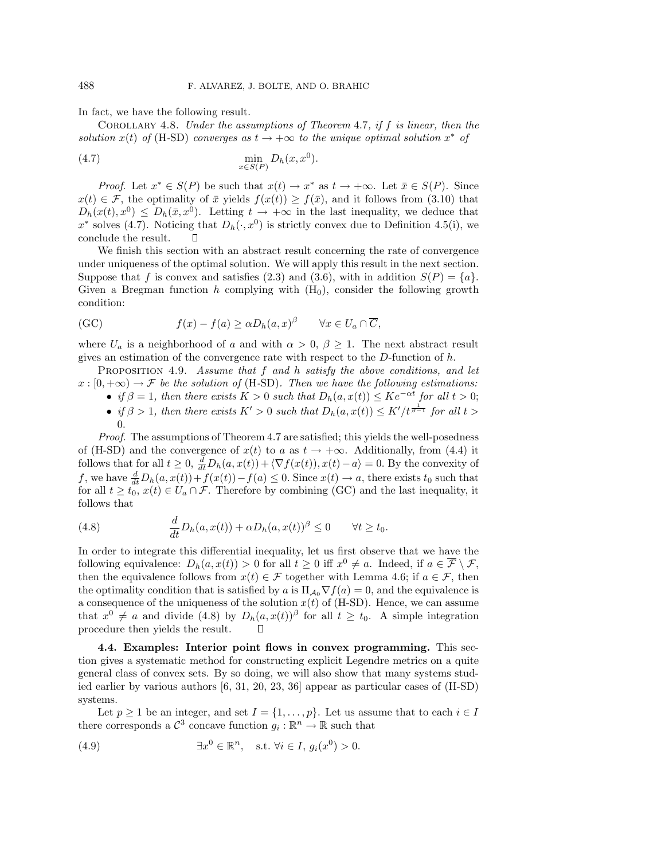In fact, we have the following result.

COROLLARY 4.8. Under the assumptions of Theorem 4.7, if  $f$  is linear, then the solution x(t) of (H-SD) converges as  $t \to +\infty$  to the unique optimal solution  $x^*$  of

$$
\min_{x \in S(P)} D_h(x, x^0).
$$

*Proof.* Let  $x^* \in S(P)$  be such that  $x(t) \to x^*$  as  $t \to +\infty$ . Let  $\bar{x} \in S(P)$ . Since  $x(t) \in \mathcal{F}$ , the optimality of  $\bar{x}$  yields  $f(x(t)) \geq f(\bar{x})$ , and it follows from (3.10) that  $D_h(x(t), x^0) \leq D_h(\bar{x}, x^0)$ . Letting  $t \to +\infty$  in the last inequality, we deduce that  $x^*$  solves (4.7). Noticing that  $D_h(\cdot, x^0)$  is strictly convex due to Definition 4.5(i), we conclude the result.

We finish this section with an abstract result concerning the rate of convergence under uniqueness of the optimal solution. We will apply this result in the next section. Suppose that f is convex and satisfies (2.3) and (3.6), with in addition  $S(P) = \{a\}$ . Given a Bregman function h complying with  $(H_0)$ , consider the following growth condition:

(GC) 
$$
f(x) - f(a) \ge \alpha D_h(a, x)^\beta \quad \forall x \in U_a \cap \overline{C},
$$

where  $U_a$  is a neighborhood of a and with  $\alpha > 0$ ,  $\beta \geq 1$ . The next abstract result gives an estimation of the convergence rate with respect to the  $D$ -function of  $h$ .

PROPOSITION 4.9. Assume that  $f$  and  $h$  satisfy the above conditions, and let  $x : [0, +\infty) \to \mathcal{F}$  be the solution of (H-SD). Then we have the following estimations:

- if  $\beta = 1$ , then there exists  $K > 0$  such that  $D_h(a, x(t)) \leq Ke^{-\alpha t}$  for all  $t > 0$ ;
- if  $\beta > 1$ , then there exists  $K' > 0$  such that  $D_h(a, x(t)) \leq K'/t^{\frac{1}{\beta-1}}$  for all  $t >$ 0.

Proof. The assumptions of Theorem 4.7 are satisfied; this yields the well-posedness of (H-SD) and the convergence of  $x(t)$  to a as  $t \to +\infty$ . Additionally, from (4.4) it follows that for all  $t \geq 0$ ,  $\frac{d}{dt}D_h(a, x(t)) + \langle \nabla f(x(t)), x(t) - a \rangle = 0$ . By the convexity of f, we have  $\frac{d}{dt}D_h(a, x(t)) + f(x(t)) - f(a) \leq 0$ . Since  $x(t) \to a$ , there exists  $t_0$  such that for all  $t \geq t_0$ ,  $x(t) \in U_a \cap \mathcal{F}$ . Therefore by combining (GC) and the last inequality, it follows that

(4.8) 
$$
\frac{d}{dt}D_h(a,x(t)) + \alpha D_h(a,x(t))^{\beta} \leq 0 \quad \forall t \geq t_0.
$$

In order to integrate this differential inequality, let us first observe that we have the following equivalence:  $D_h(a, x(t)) > 0$  for all  $t \geq 0$  iff  $x^0 \neq a$ . Indeed, if  $a \in \overline{\mathcal{F}} \setminus \mathcal{F}$ , then the equivalence follows from  $x(t) \in \mathcal{F}$  together with Lemma 4.6; if  $a \in \mathcal{F}$ , then the optimality condition that is satisfied by a is  $\Pi_{A_0} \nabla f(a) = 0$ , and the equivalence is a consequence of the uniqueness of the solution  $x(t)$  of (H-SD). Hence, we can assume that  $x^0 \neq a$  and divide (4.8) by  $D_h(a, x(t))^{\beta}$  for all  $t \geq t_0$ . A simple integration procedure then yields the result.  $\Box$ 

**4.4. Examples: Interior point flows in convex programming.** This section gives a systematic method for constructing explicit Legendre metrics on a quite general class of convex sets. By so doing, we will also show that many systems studied earlier by various authors [6, 31, 20, 23, 36] appear as particular cases of (H-SD) systems.

Let  $p \ge 1$  be an integer, and set  $I = \{1, \ldots, p\}$ . Let us assume that to each  $i \in I$ there corresponds a  $\mathcal{C}^3$  concave function  $q_i : \mathbb{R}^n \to \mathbb{R}$  such that

(4.9) 
$$
\exists x^0 \in \mathbb{R}^n, \quad \text{s.t. } \forall i \in I, g_i(x^0) > 0.
$$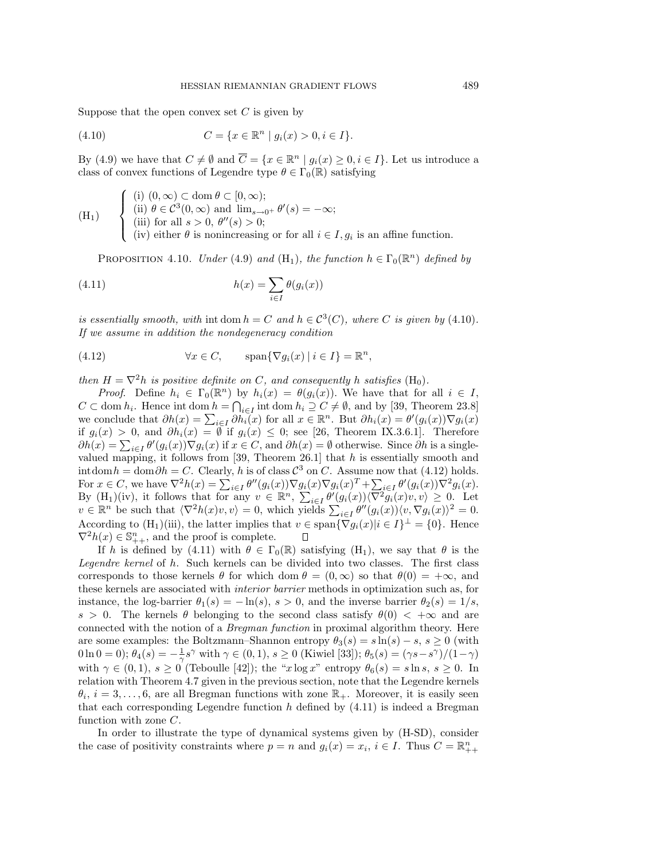Suppose that the open convex set  $C$  is given by

(4.10) 
$$
C = \{x \in \mathbb{R}^n \mid g_i(x) > 0, i \in I\}.
$$

By (4.9) we have that  $C \neq \emptyset$  and  $\overline{C} = \{x \in \mathbb{R}^n \mid g_i(x) \geq 0, i \in I\}$ . Let us introduce a class of convex functions of Legendre type  $\theta \in \Gamma_0(\mathbb{R})$  satisfying

(H<sub>1</sub>)   
\n
$$
\begin{cases}\n(i) (0, \infty) \subset \text{dom } \theta \subset [0, \infty); \\
(ii) \ \theta \in C^3(0, \infty) \text{ and } \lim_{s \to 0^+} \theta'(s) = -\infty; \\
(iii) \text{ for all } s > 0, \ \theta''(s) > 0; \\
(iv) \text{ either } \theta \text{ is nonincreasing or for all } i \in I, g_i \text{ is an affine function.} \n\end{cases}
$$

PROPOSITION 4.10. Under (4.9) and (H<sub>1</sub>), the function  $h \in \Gamma_0(\mathbb{R}^n)$  defined by

(4.11) 
$$
h(x) = \sum_{i \in I} \theta(g_i(x))
$$

is essentially smooth, with int dom  $h = C$  and  $h \in C^{3}(C)$ , where C is given by (4.10). If we assume in addition the nondegeneracy condition

(4.12) 
$$
\forall x \in C, \qquad \text{span}\{\nabla g_i(x) \mid i \in I\} = \mathbb{R}^n,
$$

then  $H = \nabla^2 h$  is positive definite on C, and consequently h satisfies  $(H_0)$ .

*Proof.* Define  $h_i \in \Gamma_0(\mathbb{R}^n)$  by  $h_i(x) = \theta(g_i(x))$ . We have that for all  $i \in I$ ,  $C \subset \text{dom } h_i$ . Hence int dom  $h = \bigcap_{i \in I} \text{int dom } h_i \supseteq C \neq \emptyset$ , and by [39, Theorem 23.8] we conclude that  $\partial h(x) = \sum_{i \in I} \partial h_i(x)$  for all  $x \in \mathbb{R}^n$ . But  $\partial h_i(x) = \theta'(g_i(x)) \nabla g_i(x)$ if  $g_i(x) > 0$ , and  $\partial h_i(x) = \emptyset$  if  $g_i(x) \leq 0$ ; see [26, Theorem IX.3.6.1]. Therefore  $\partial h(x) = \sum_{i \in I} \theta'(g_i(x)) \nabla g_i(x)$  if  $x \in C$ , and  $\partial h(x) = \emptyset$  otherwise. Since  $\partial h$  is a singlevalued mapping, it follows from [39, Theorem 26.1] that  $h$  is essentially smooth and intdom  $h = \text{dom}\,\partial h = C$ . Clearly, h is of class  $\mathcal{C}^3$  on C. Assume now that (4.12) holds. For  $x \in C$ , we have  $\nabla^2 h(x) = \sum_{i \in I} \theta''(g_i(x)) \nabla g_i(x) \nabla g_i(x)^T + \sum_{i \in I} \theta'(g_i(x)) \nabla^2 g_i(x)$ . By  $(H_1)(iv)$ , it follows that for any  $v \in \mathbb{R}^n$ ,  $\sum_{i \in I} \theta'(g_i(x)) \langle \nabla^2 \widetilde{g_i}(x)v, v \rangle \geq 0$ . Let  $v \in \mathbb{R}^n$  be such that  $\langle \nabla^2 h(x)v, v \rangle = 0$ , which yields  $\sum_{i \in I} \theta''(g_i(x)) \langle v, \nabla g_i(x) \rangle^2 = 0$ . According to  $(H_1)(iii)$ , the latter implies that  $v \in \text{span}\{\nabla g_i(x)|i\in I\}^{\perp} = \{0\}$ . Hence  $\nabla^2 h(x) \in \mathbb{S}_{++}^n$ , and the proof is complete. П

If h is defined by (4.11) with  $\theta \in \Gamma_0(\mathbb{R})$  satisfying  $(H_1)$ , we say that  $\theta$  is the Legendre kernel of h. Such kernels can be divided into two classes. The first class corresponds to those kernels  $\theta$  for which dom  $\theta = (0,\infty)$  so that  $\theta(0) = +\infty$ , and these kernels are associated with interior barrier methods in optimization such as, for instance, the log-barrier  $\theta_1(s) = -\ln(s)$ ,  $s > 0$ , and the inverse barrier  $\theta_2(s) = 1/s$ ,  $s > 0$ . The kernels  $\theta$  belonging to the second class satisfy  $\theta(0) < +\infty$  and are connected with the notion of a Bregman function in proximal algorithm theory. Here are some examples: the Boltzmann–Shannon entropy  $\theta_3(s) = s \ln(s) - s$ ,  $s \geq 0$  (with  $0 \ln 0 = 0$ );  $\theta_4(s) = -\frac{1}{\gamma}s^{\gamma}$  with  $\gamma \in (0, 1), s \ge 0$  (Kiwiel [33]);  $\theta_5(s) = (\gamma s - s^{\gamma})/(1-\gamma)$ with  $\gamma \in (0,1)$ ,  $s \ge 0$  (Teboulle [42]); the "x log x" entropy  $\theta_6(s) = s \ln s$ ,  $s \ge 0$ . In relation with Theorem 4.7 given in the previous section, note that the Legendre kernels  $\theta_i, i = 3, \ldots, 6$ , are all Bregman functions with zone  $\mathbb{R}_+$ . Moreover, it is easily seen that each corresponding Legendre function  $h$  defined by  $(4.11)$  is indeed a Bregman function with zone C.

In order to illustrate the type of dynamical systems given by (H-SD), consider the case of positivity constraints where  $p = n$  and  $g_i(x) = x_i$ ,  $i \in I$ . Thus  $C = \mathbb{R}_{++}^n$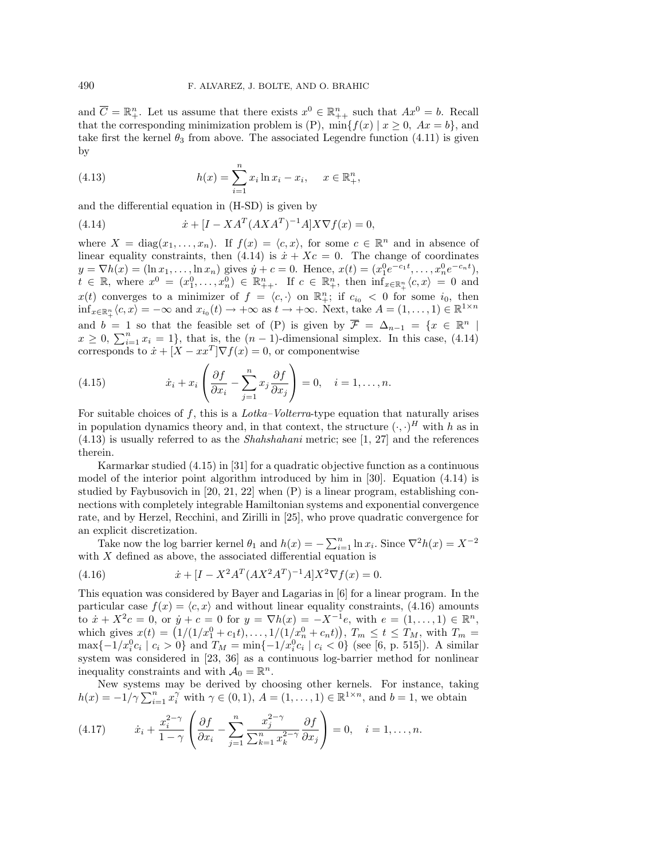and  $\overline{C} = \mathbb{R}^n_+$ . Let us assume that there exists  $x^0 \in \mathbb{R}^n_{++}$  such that  $Ax^0 = b$ . Recall that the corresponding minimization problem is (P),  $\min\{f(x) | x \geq 0, Ax = b\}$ , and take first the kernel  $\theta_3$  from above. The associated Legendre function (4.11) is given by

(4.13) 
$$
h(x) = \sum_{i=1}^{n} x_i \ln x_i - x_i, \quad x \in \mathbb{R}^n_+,
$$

and the differential equation in (H-SD) is given by

(4.14) 
$$
\dot{x} + [I - X A^T (AX A^T)^{-1} A] X \nabla f(x) = 0,
$$

where  $X = diag(x_1, ..., x_n)$ . If  $f(x) = \langle c, x \rangle$ , for some  $c \in \mathbb{R}^n$  and in absence of linear equality constraints, then (4.14) is  $\dot{x} + Xc = 0$ . The change of coordinates  $y = \nabla h(x) = (\ln x_1, \dots, \ln x_n)$  gives  $\dot{y} + c = 0$ . Hence,  $x(t) = (x_1^0 e^{-c_1 t}, \dots, x_n^0 e^{-c_n t}),$  $t \in \mathbb{R}$ , where  $x^0 = (x_1^0, \ldots, x_n^0) \in \mathbb{R}_{++}^n$ . If  $c \in \mathbb{R}_{++}^n$ , then  $\inf_{x \in \mathbb{R}_{++}^n} \langle c, x \rangle = 0$  and  $x(t)$  converges to a minimizer of  $f = \langle c, \cdot \rangle$  on  $\mathbb{R}^n_+$ ; if  $c_{i_0} < 0$  for some  $i_0$ , then  $\inf_{x \in \mathbb{R}_+^n} \langle c, x \rangle = -\infty$  and  $x_{i_0}(t) \to +\infty$  as  $t \to +\infty$ . Next, take  $A = (1, \ldots, 1) \in \mathbb{R}^{1 \times n}$ and  $b = 1$  so that the feasible set of (P) is given by  $\overline{\mathcal{F}} = \Delta_{n-1} = \{x \in \mathbb{R}^n \mid$  $x \geq 0$ ,  $\sum_{i=1}^{n} x_i = 1$ , that is, the  $(n-1)$ -dimensional simplex. In this case, (4.14) corresponds to  $\dot{x} + [X - xx^T] \nabla f(x) = 0$ , or componentwise

(4.15) 
$$
\dot{x}_i + x_i \left( \frac{\partial f}{\partial x_i} - \sum_{j=1}^n x_j \frac{\partial f}{\partial x_j} \right) = 0, \quad i = 1, \dots, n.
$$

For suitable choices of f, this is a  $Lotka-Volterra$ -type equation that naturally arises in population dynamics theory and, in that context, the structure  $(\cdot, \cdot)^H$  with h as in (4.13) is usually referred to as the Shahshahani metric; see [1, 27] and the references therein.

Karmarkar studied (4.15) in [31] for a quadratic objective function as a continuous model of the interior point algorithm introduced by him in [30]. Equation (4.14) is studied by Faybusovich in [20, 21, 22] when (P) is a linear program, establishing connections with completely integrable Hamiltonian systems and exponential convergence rate, and by Herzel, Recchini, and Zirilli in [25], who prove quadratic convergence for an explicit discretization.

Take now the log barrier kernel  $\theta_1$  and  $h(x) = -\sum_{i=1}^n \ln x_i$ . Since  $\nabla^2 h(x) = X^{-2}$ with  $X$  defined as above, the associated differential equation is

(4.16) 
$$
\dot{x} + [I - X^2 A^T (AX^2 A^T)^{-1} A] X^2 \nabla f(x) = 0.
$$

This equation was considered by Bayer and Lagarias in [6] for a linear program. In the particular case  $f(x) = \langle c, x \rangle$  and without linear equality constraints, (4.16) amounts to  $\dot{x} + X^2c = 0$ , or  $\dot{y} + c = 0$  for  $y = \nabla h(x) = -X^{-1}e$ , with  $e = (1, \ldots, 1) \in \mathbb{R}^n$ , which gives  $x(t) = (1/(1/x_1^0 + c_1t),...,1/(1/x_n^0 + c_nt)), T_m \le t \le T_M$ , with  $T_m =$  $\max\{-1/x_i^0 c_i \mid c_i > 0\}$  and  $T_M = \min\{-1/x_i^0 c_i \mid c_i < 0\}$  (see [6, p. 515]). A similar system was considered in [23, 36] as a continuous log-barrier method for nonlinear inequality constraints and with  $\mathcal{A}_0 = \mathbb{R}^n$ .

New systems may be derived by choosing other kernels. For instance, taking  $h(x) = -1/\gamma \sum_{i=1}^n x_i^{\gamma}$  with  $\gamma \in (0,1)$ ,  $A = (1,\ldots,1) \in \mathbb{R}^{1 \times n}$ , and  $b = 1$ , we obtain

(4.17) 
$$
\dot{x}_i + \frac{x_i^{2-\gamma}}{1-\gamma} \left( \frac{\partial f}{\partial x_i} - \sum_{j=1}^n \frac{x_j^{2-\gamma}}{\sum_{k=1}^n x_k^{2-\gamma}} \frac{\partial f}{\partial x_j} \right) = 0, \quad i = 1, \dots, n.
$$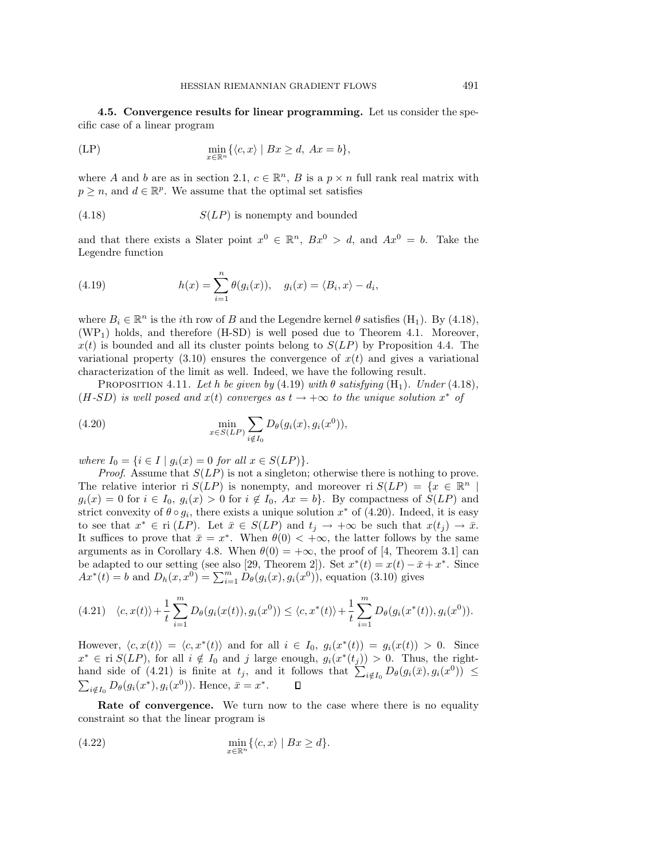**4.5. Convergence results for linear programming.** Let us consider the specific case of a linear program

$$
\min_{x \in \mathbb{R}^n} \{ \langle c, x \rangle \mid Bx \ge d, \ Ax = b \},\
$$

where A and b are as in section 2.1,  $c \in \mathbb{R}^n$ , B is a  $p \times n$  full rank real matrix with  $p \geq n$ , and  $d \in \mathbb{R}^p$ . We assume that the optimal set satisfies

$$
(4.18)
$$
  $S(LP)$  is nonempty and bounded

and that there exists a Slater point  $x^0 \in \mathbb{R}^n$ ,  $Bx^0 > d$ , and  $Ax^0 = b$ . Take the Legendre function

(4.19) 
$$
h(x) = \sum_{i=1}^{n} \theta(g_i(x)), \quad g_i(x) = \langle B_i, x \rangle - d_i,
$$

where  $B_i \in \mathbb{R}^n$  is the *i*th row of B and the Legendre kernel  $\theta$  satisfies (H<sub>1</sub>). By (4.18),  $(WP<sub>1</sub>)$  holds, and therefore  $(H-SD)$  is well posed due to Theorem 4.1. Moreover,  $x(t)$  is bounded and all its cluster points belong to  $S(LP)$  by Proposition 4.4. The variational property  $(3.10)$  ensures the convergence of  $x(t)$  and gives a variational characterization of the limit as well. Indeed, we have the following result.

PROPOSITION 4.11. Let h be given by  $(4.19)$  with  $\theta$  satisfying  $(H_1)$ . Under  $(4.18)$ ,  $(H-SD)$  is well posed and  $x(t)$  converges as  $t \rightarrow +\infty$  to the unique solution  $x^*$  of

(4.20) 
$$
\min_{x \in S(LP)} \sum_{i \notin I_0} D_{\theta}(g_i(x), g_i(x^0)),
$$

where  $I_0 = \{i \in I \mid g_i(x) = 0 \text{ for all } x \in S(LP)\}.$ 

*Proof.* Assume that  $S(LP)$  is not a singleton; otherwise there is nothing to prove. The relative interior ri  $S(LP)$  is nonempty, and moreover ri  $S(LP) = \{x \in \mathbb{R}^n | x \in \mathbb{R}^n \mid \mathbb{R}^n \leq x \leq x\}$  $g_i(x) = 0$  for  $i \in I_0$ ,  $g_i(x) > 0$  for  $i \notin I_0$ ,  $Ax = b$ . By compactness of  $S(LP)$  and strict convexity of  $\theta \circ g_i$ , there exists a unique solution  $x^*$  of (4.20). Indeed, it is easy to see that  $x^* \in \text{ri } (LP)$ . Let  $\bar{x} \in S(LP)$  and  $t_j \to +\infty$  be such that  $x(t_j) \to \bar{x}$ . It suffices to prove that  $\bar{x} = x^*$ . When  $\theta(0) < +\infty$ , the latter follows by the same arguments as in Corollary 4.8. When  $\theta(0) = +\infty$ , the proof of [4, Theorem 3.1] can be adapted to our setting (see also [29, Theorem 2]). Set  $x^*(t) = x(t) - \bar{x} + x^*$ . Since  $Ax^*(t) = b$  and  $D_h(x, x^0) = \sum_{i=1}^m D_{\theta}(g_i(x), g_i(x^0))$ , equation (3.10) gives

$$
(4.21) \quad \langle c, x(t) \rangle + \frac{1}{t} \sum_{i=1}^{m} D_{\theta}(g_i(x(t)), g_i(x^0)) \le \langle c, x^*(t) \rangle + \frac{1}{t} \sum_{i=1}^{m} D_{\theta}(g_i(x^*(t)), g_i(x^0)).
$$

However,  $\langle c, x(t) \rangle = \langle c, x^*(t) \rangle$  and for all  $i \in I_0$ ,  $g_i(x^*(t)) = g_i(x(t)) > 0$ . Since  $x^* \in \text{ri } S(LP)$ , for all  $i \notin I_0$  and j large enough,  $g_i(x^*(t_j)) > 0$ . Thus, the righthand side of (4.21) is finite at  $t_j$ , and it follows that  $\sum_{i \notin I_0} D_{\theta}(g_i(\bar{x}), g_i(x^0)) \leq$  $\sum_{i \notin I_0} D_{\theta}(g_i(x^*), g_i(x^0))$ . Hence,  $\bar{x} = x^*$ .  $\Box$ 

**Rate of convergence.** We turn now to the case where there is no equality constraint so that the linear program is

(4.22) 
$$
\min_{x \in \mathbb{R}^n} \{ \langle c, x \rangle \mid Bx \geq d \}.
$$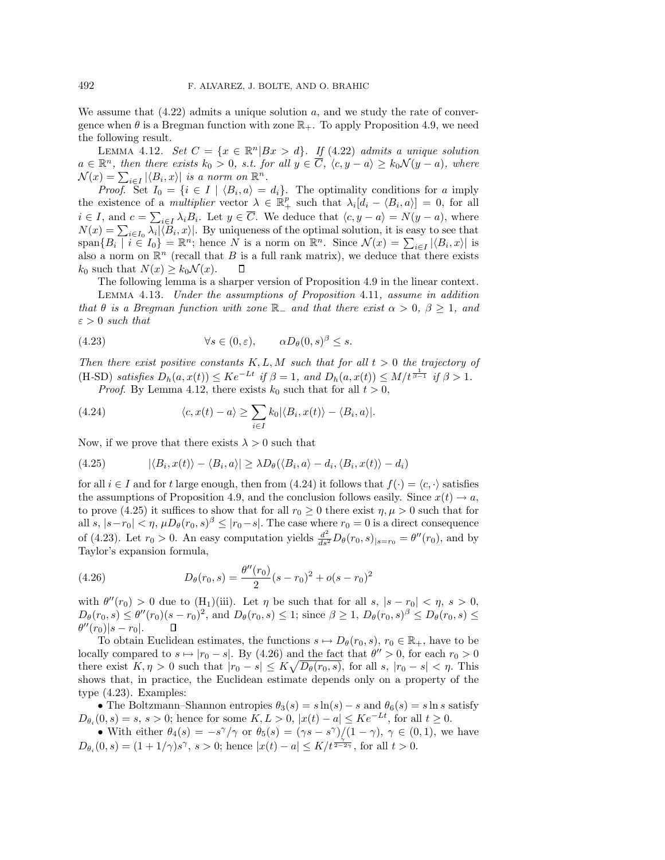We assume that  $(4.22)$  admits a unique solution a, and we study the rate of convergence when  $\theta$  is a Bregman function with zone  $\mathbb{R}_+$ . To apply Proposition 4.9, we need the following result.

LEMMA 4.12. Set  $C = \{x \in \mathbb{R}^n | Bx > d\}$ . If (4.22) admits a unique solution  $a \in \mathbb{R}^n$ , then there exists  $k_0 > 0$ , s.t. for all  $y \in \overline{C}$ ,  $\langle c, y - a \rangle \geq k_0 \mathcal{N}(y - a)$ , where  $\mathcal{N}(x) = \sum_{i \in I} |\langle B_i, x \rangle|$  is a norm on  $\mathbb{R}^n$ .

*Proof.* Set  $I_0 = \{i \in I \mid \langle B_i, a \rangle = d_i\}$ . The optimality conditions for a imply the existence of a *multiplier* vector  $\lambda \in \mathbb{R}_+^p$  such that  $\lambda_i[d_i - \langle B_i, a \rangle] = 0$ , for all  $i \in I$ , and  $c = \sum_{i \in I} \lambda_i B_i$ . Let  $y \in C$ . We deduce that  $\langle c, y - a \rangle = N(y - a)$ , where  $N(x) = \sum_{i \in I_0} \lambda_i |\langle B_i, x \rangle|$ . By uniqueness of the optimal solution, it is easy to see that  $\text{span}\{B_i \mid i \in I_0\} = \mathbb{R}^n$ ; hence N is a norm on  $\mathbb{R}^n$ . Since  $\mathcal{N}(x) = \sum_{i \in I} |\langle B_i, x \rangle|$  is also a norm on  $\mathbb{R}^n$  (recall that B is a full rank matrix), we deduce that there exists  $k_0$  such that  $N(x) \geq k_0 \mathcal{N}(x)$ .

The following lemma is a sharper version of Proposition 4.9 in the linear context.

Lemma 4.13. Under the assumptions of Proposition 4.11, assume in addition that  $\theta$  is a Bregman function with zone R<sub>−</sub> and that there exist  $\alpha > 0$ ,  $\beta \geq 1$ , and  $\varepsilon > 0$  such that

(4.23) 
$$
\forall s \in (0, \varepsilon), \qquad \alpha D_{\theta}(0, s)^{\beta} \leq s.
$$

Then there exist positive constants  $K, L, M$  such that for all  $t > 0$  the trajectory of (H-SD) satisfies  $D_h(a, x(t)) \leq Ke^{-Lt}$  if  $\beta = 1$ , and  $D_h(a, x(t)) \leq M/t^{\frac{1}{\beta-1}}$  if  $\beta > 1$ . *Proof.* By Lemma 4.12, there exists  $k_0$  such that for all  $t > 0$ ,

(4.24) 
$$
\langle c, x(t) - a \rangle \geq \sum_{i \in I} k_0 |\langle B_i, x(t) \rangle - \langle B_i, a \rangle|.
$$

Now, if we prove that there exists  $\lambda > 0$  such that

(4.25) 
$$
|\langle B_i, x(t) \rangle - \langle B_i, a \rangle| \geq \lambda D_{\theta}(\langle B_i, a \rangle - d_i, \langle B_i, x(t) \rangle - d_i)
$$

for all  $i \in I$  and for t large enough, then from (4.24) it follows that  $f(\cdot) = \langle c, \cdot \rangle$  satisfies the assumptions of Proposition 4.9, and the conclusion follows easily. Since  $x(t) \to a$ , to prove (4.25) it suffices to show that for all  $r_0 \geq 0$  there exist  $\eta, \mu > 0$  such that for all s,  $|s-r_0| < \eta$ ,  $\mu D_\theta(r_0, s)^\beta \leq |r_0-s|$ . The case where  $r_0 = 0$  is a direct consequence of (4.23). Let  $r_0 > 0$ . An easy computation yields  $\frac{d^2}{ds^2} D_\theta(r_0, s)_{|s=r_0} = \theta''(r_0)$ , and by Taylor's expansion formula,

(4.26) 
$$
D_{\theta}(r_0, s) = \frac{\theta''(r_0)}{2}(s - r_0)^2 + o(s - r_0)^2
$$

with  $\theta''(r_0) > 0$  due to  $(H_1)(iii)$ . Let  $\eta$  be such that for all  $s, |s - r_0| < \eta, s > 0$ ,  $D_{\theta}(r_0, s) \leq \theta''(r_0)(s - r_0)^2$ , and  $D_{\theta}(r_0, s) \leq 1$ ; since  $\beta \geq 1$ ,  $D_{\theta}(r_0, s)^{\beta} \leq D_{\theta}(r_0, s) \leq$  $\theta''(r_0)|s - r_0|.$  $\Box$ 

To obtain Euclidean estimates, the functions  $s \mapsto D_{\theta}(r_0, s)$ ,  $r_0 \in \mathbb{R}_+$ , have to be locally compared to  $s \mapsto |r_0 - s|$ . By (4.26) and the fact that  $\theta'' > 0$ , for each  $r_0 > 0$ there exist  $K, \eta > 0$  such that  $|r_0 - s| \leq K \sqrt{D_\theta(r_0, s)}$ , for all  $s, |r_0 - s| < \eta$ . This shows that, in practice, the Euclidean estimate depends only on a property of the type (4.23). Examples:

• The Boltzmann–Shannon entropies  $\theta_3(s) = s \ln(s) - s$  and  $\theta_6(s) = s \ln s$  satisfy  $D_{\theta_i}(0, s) = s, s > 0$ ; hence for some  $K, L > 0, |x(t) - a| \leq Ke^{-Lt}$ , for all  $t \geq 0$ .

• With either  $\theta_4(s) = -s^{\gamma}/\gamma$  or  $\theta_5(s)=(\gamma s - s^{\gamma})/(1 - \gamma)$ ,  $\gamma \in (0,1)$ , we have  $D_{\theta_i}(0,s) = (1+1/\gamma)s^{\gamma}, s > 0;$  hence  $|x(t) - a| \leq K/t^{\frac{\gamma}{2-2\gamma}},$  for all  $t > 0$ .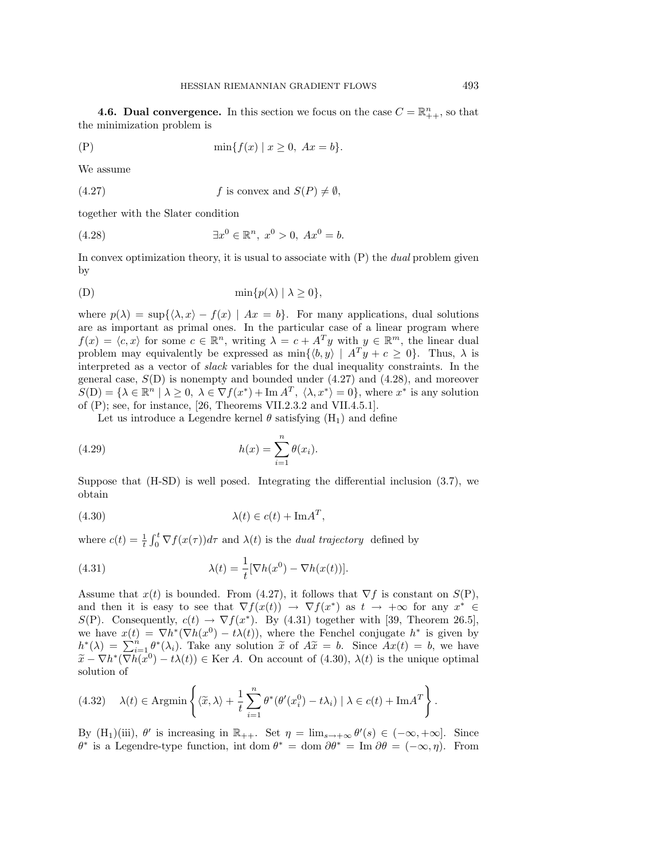**4.6. Dual convergence.** In this section we focus on the case  $C = \mathbb{R}_{++}^n$ , so that the minimization problem is

(P) 
$$
\min\{f(x) | x \ge 0, Ax = b\}.
$$

We assume

(4.27) 
$$
f
$$
 is convex and  $S(P) \neq \emptyset$ ,

together with the Slater condition

(4.28) 
$$
\exists x^0 \in \mathbb{R}^n, x^0 > 0, Ax^0 = b.
$$

In convex optimization theory, it is usual to associate with  $(P)$  the *dual* problem given by

(D) 
$$
\min\{p(\lambda) \mid \lambda \geq 0\},\
$$

where  $p(\lambda) = \sup\{\langle \lambda, x \rangle - f(x) \mid Ax = b\}.$  For many applications, dual solutions are as important as primal ones. In the particular case of a linear program where  $f(x) = \langle c, x \rangle$  for some  $c \in \mathbb{R}^n$ , writing  $\lambda = c + A^T y$  with  $y \in \mathbb{R}^m$ , the linear dual problem may equivalently be expressed as  $\min\{\langle b, y \rangle \mid A^T y + c \geq 0\}.$  Thus,  $\lambda$  is interpreted as a vector of slack variables for the dual inequality constraints. In the general case,  $S(D)$  is nonempty and bounded under  $(4.27)$  and  $(4.28)$ , and moreover  $S(D) = \{ \lambda \in \mathbb{R}^n \mid \lambda \geq 0, \lambda \in \nabla f(x^*) + \text{Im } A^T, \langle \lambda, x^* \rangle = 0 \},$  where  $x^*$  is any solution of (P); see, for instance, [26, Theorems VII.2.3.2 and VII.4.5.1].

Let us introduce a Legendre kernel  $\theta$  satisfying  $(H_1)$  and define

(4.29) 
$$
h(x) = \sum_{i=1}^{n} \theta(x_i).
$$

Suppose that (H-SD) is well posed. Integrating the differential inclusion (3.7), we obtain

λ(t) ∈ c(t) + ImA<sup>T</sup> (4.30) ,

where  $c(t) = \frac{1}{t} \int_0^t \nabla f(x(\tau)) d\tau$  and  $\lambda(t)$  is the *dual trajectory* defined by

(4.31) 
$$
\lambda(t) = \frac{1}{t} [\nabla h(x^0) - \nabla h(x(t))].
$$

Assume that  $x(t)$  is bounded. From (4.27), it follows that  $\nabla f$  is constant on  $S(P)$ , and then it is easy to see that  $\nabla f(x(t)) \to \nabla f(x^*)$  as  $t \to +\infty$  for any  $x^* \in$ S(P). Consequently,  $c(t) \rightarrow \nabla f(x^*)$ . By (4.31) together with [39, Theorem 26.5], we have  $x(t) = \nabla h^*(\nabla h(x^0) - t\lambda(t))$ , where the Fenchel conjugate  $h^*$  is given by  $h^*(\lambda) = \sum_{i=1}^n \theta^*(\lambda_i)$ . Take any solution  $\tilde{x}$  of  $A\tilde{x} = b$ . Since  $Ax(t) = b$ , we have  $\tilde{x} - \nabla h^*(\nabla h(x^0) - t\lambda(t)) \in \text{Ker } A$ . On account of (4.30),  $\lambda(t)$  is the unique optimal solution of

(4.32) 
$$
\lambda(t) \in \text{Argmin}\left\{ \langle \tilde{x}, \lambda \rangle + \frac{1}{t} \sum_{i=1}^{n} \theta^* (\theta'(x_i^0) - t\lambda_i) \mid \lambda \in c(t) + \text{Im} A^T \right\}.
$$

By  $(H_1)(iii)$ ,  $\theta'$  is increasing in  $\mathbb{R}_{++}$ . Set  $\eta = \lim_{s \to +\infty} \theta'(s) \in (-\infty, +\infty]$ . Since  $\theta^*$  is a Legendre-type function, int dom  $\theta^* = \text{dom } \partial \theta^* = \text{Im } \partial \theta = (-\infty, \eta)$ . From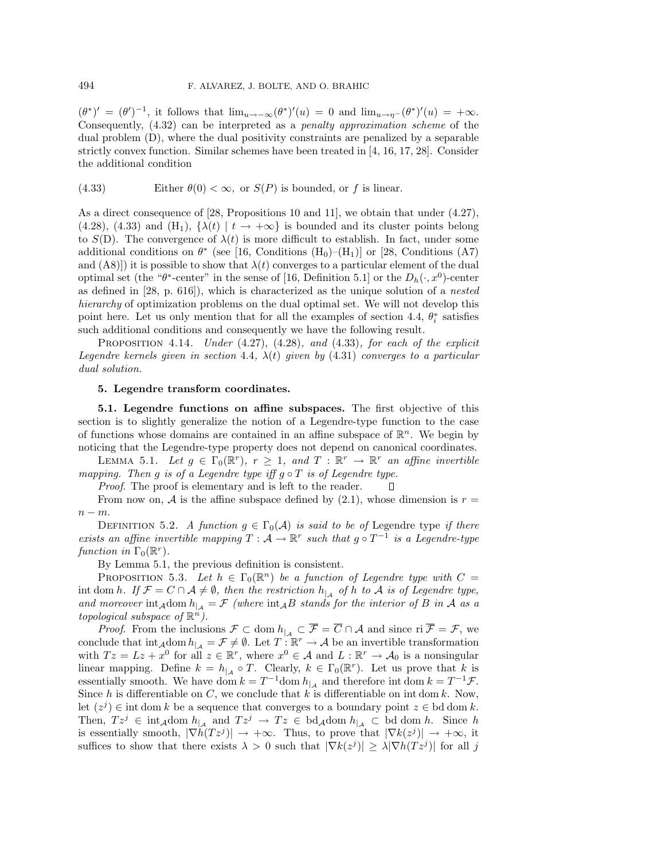$(\theta^*)' = (\theta')^{-1}$ , it follows that  $\lim_{u \to -\infty} (\theta^*)'(u) = 0$  and  $\lim_{u \to \eta^-} (\theta^*)'(u) = +\infty$ . Consequently, (4.32) can be interpreted as a penalty approximation scheme of the dual problem (D), where the dual positivity constraints are penalized by a separable strictly convex function. Similar schemes have been treated in [4, 16, 17, 28]. Consider the additional condition

(4.33) Either 
$$
\theta(0) < \infty
$$
, or  $S(P)$  is bounded, or f is linear.

As a direct consequence of [28, Propositions 10 and 11], we obtain that under (4.27), (4.28), (4.33) and (H<sub>1</sub>),  $\{\lambda(t) | t \rightarrow +\infty\}$  is bounded and its cluster points belong to  $S(D)$ . The convergence of  $\lambda(t)$  is more difficult to establish. In fact, under some additional conditions on  $\theta^*$  (see [16, Conditions (H<sub>0</sub>)–(H<sub>1</sub>)] or [28, Conditions (A7) and  $(A8)$ ]) it is possible to show that  $\lambda(t)$  converges to a particular element of the dual optimal set (the "θ\*-center" in the sense of [16, Definition 5.1] or the  $D_h(\cdot, x^0)$ -center as defined in [28, p. 616]), which is characterized as the unique solution of a nested hierarchy of optimization problems on the dual optimal set. We will not develop this point here. Let us only mention that for all the examples of section 4.4,  $\theta_i^*$  satisfies such additional conditions and consequently we have the following result.

PROPOSITION 4.14. Under  $(4.27)$ ,  $(4.28)$ , and  $(4.33)$ , for each of the explicit Legendre kernels given in section 4.4,  $\lambda(t)$  given by (4.31) converges to a particular dual solution.

## **5. Legendre transform coordinates.**

**5.1. Legendre functions on affine subspaces.** The first objective of this section is to slightly generalize the notion of a Legendre-type function to the case of functions whose domains are contained in an affine subspace of  $\mathbb{R}^n$ . We begin by noticing that the Legendre-type property does not depend on canonical coordinates.

LEMMA 5.1. Let  $q \in \Gamma_0(\mathbb{R}^r)$ ,  $r > 1$ , and  $T : \mathbb{R}^r \to \mathbb{R}^r$  an affine invertible mapping. Then g is of a Legendre type iff  $g \circ T$  is of Legendre type.

Proof. The proof is elementary and is left to the reader.

From now on, A is the affine subspace defined by  $(2.1)$ , whose dimension is  $r =$  $n - m$ .

DEFINITION 5.2. A function  $g \in \Gamma_0(\mathcal{A})$  is said to be of Legendre type if there exists an affine invertible mapping  $T: \mathcal{A} \to \mathbb{R}^r$  such that  $g \circ T^{-1}$  is a Legendre-type function in  $\Gamma_0(\mathbb{R}^r)$ .

By Lemma 5.1, the previous definition is consistent.

PROPOSITION 5.3. Let  $h \in \Gamma_0(\mathbb{R}^n)$  be a function of Legendre type with  $C =$ int dom h. If  $\mathcal{F} = C \cap \mathcal{A} \neq \emptyset$ , then the restriction  $h_{\vert \mathcal{A}}$  of h to  $\mathcal{A}$  is of Legendre type, and moreover  $\int_{A}$  int<sub>A</sub>dom  $h_{|A} = \mathcal{F}$  (where  $\int_{A}$  intake for the interior of B in A as a topological subspace of  $\mathbb{R}^n$ ).

*Proof.* From the inclusions  $\mathcal{F} \subset \text{dom } h_{\vert A} \subset \mathcal{F} = C \cap \mathcal{A}$  and since ri  $\mathcal{F} = \mathcal{F}$ , we conclude that  $\int_{A}$  int<sub>A</sub>dom  $h_{\vert A} = \mathcal{F} \neq \emptyset$ . Let  $T : \mathbb{R}^r \to A$  be an invertible transformation with  $Tz = Lz + x^0$  for all  $z \in \mathbb{R}^r$ , where  $x^0 \in A$  and  $L : \mathbb{R}^r \to A_0$  is a nonsingular linear mapping. Define  $k = h_{\vert A} \circ T$ . Clearly,  $k \in \Gamma_0(\mathbb{R}^r)$ . Let us prove that k is essentially smooth. We have dom  $k = T^{-1}$ dom  $h_{\vert A}$  and therefore int dom  $k = T^{-1} \mathcal{F}$ . Since h is differentiable on C, we conclude that k is differentiable on int dom k. Now, let  $(z^{j}) \in \text{int dom } k$  be a sequence that converges to a boundary point  $z \in \text{bd dom } k$ . Then,  $Tz^j \in \text{int}_{\mathcal{A}} \text{dom } h_{|A}$  and  $Tz^j \to Tz \in \text{bd}_{\mathcal{A}} \text{dom } h_{|A} \subset \text{bd dom } h$ . Since h is essentially smooth,  $|\nabla h(Tz^j)| \to +\infty$ . Thus, to prove that  $|\nabla k(z^j)| \to +\infty$ , it suffices to show that there exists  $\lambda > 0$  such that  $|\nabla k(z^j)| \geq \lambda |\nabla h(Tz^j)|$  for all j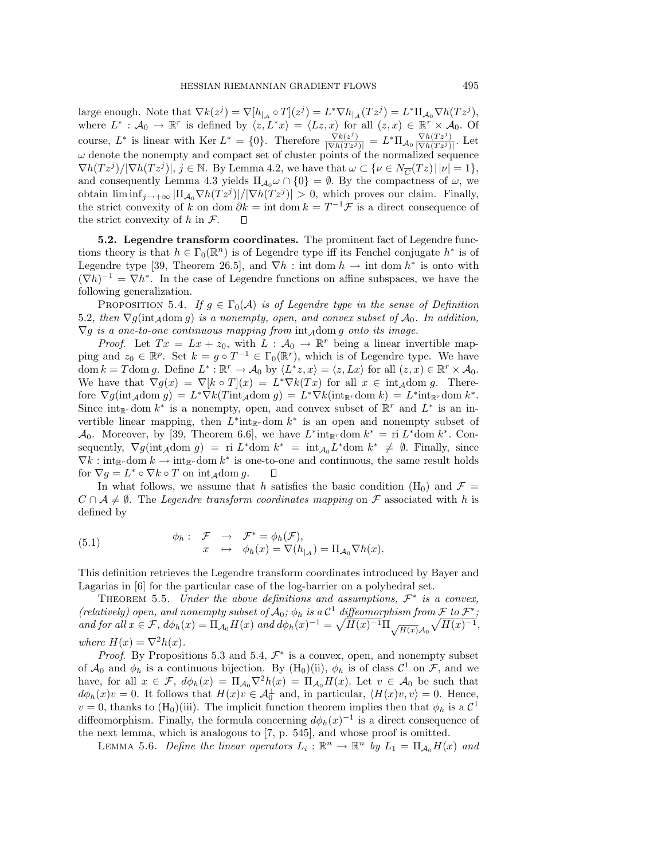large enough. Note that  $\nabla k(z^j) = \nabla [h_{\mid_A} \circ T](z^j) = L^* \nabla h_{\mid_A} (T z^j) = L^* \Pi_{A_0} \nabla h (T z^j),$ where  $L^* : \mathcal{A}_0 \to \mathbb{R}^r$  is defined by  $\langle z, L^*x \rangle = \langle Lz, x \rangle$  for all  $(z, x) \in \mathbb{R}^r \times \mathcal{A}_0$ . Of course,  $L^*$  is linear with Ker  $L^* = \{0\}$ . Therefore  $\frac{\nabla k(z^j)}{|\nabla h(Tz^j)|} = L^* \Pi_{\mathcal{A}_0} \frac{\nabla h(Tz^j)}{|\nabla h(Tz^j)|}$ . Let  $\omega$  denote the nonempty and compact set of cluster points of the normalized sequence  $\nabla h(Tz^j)/|\nabla h(Tz^j)|, j \in \mathbb{N}$ . By Lemma 4.2, we have that  $\omega \subset \{\nu \in N_{\overline{C}}(Tz) | |\nu|=1\},$ and consequently Lemma 4.3 yields  $\Pi_{A_0} \omega \cap \{0\} = \emptyset$ . By the compactness of  $\omega$ , we obtain  $\liminf_{i\to+\infty}$   $|\Pi_{\mathcal{A}_0}\nabla h(Tz^j)|/|\nabla h(Tz^j)| > 0$ , which proves our claim. Finally, the strict convexity of k on dom  $\partial k = \text{int dom } k = T^{-1} \mathcal{F}$  is a direct consequence of the strict convexity of  $h$  in  $\mathcal{F}$ .  $\Box$ 

**5.2. Legendre transform coordinates.** The prominent fact of Legendre functions theory is that  $h \in \Gamma_0(\mathbb{R}^n)$  is of Legendre type iff its Fenchel conjugate  $h^*$  is of Legendre type [39, Theorem 26.5], and  $\nabla h$ : int dom  $h \to \text{int dom } h^*$  is onto with  $(\nabla h)^{-1} = \nabla h^*$ . In the case of Legendre functions on affine subspaces, we have the following generalization.

PROPOSITION 5.4. If  $g \in \Gamma_0(\mathcal{A})$  is of Legendre type in the sense of Definition 5.2, then  $\nabla g(\text{int}_{\mathcal{A}}\text{dom }g)$  is a nonempty, open, and convex subset of  $\mathcal{A}_0$ . In addition,  $\nabla g$  is a one-to-one continuous mapping from  $\int_{\mathcal{A}} d\rho \, d\rho$  and  $\sigma$  its image.

*Proof.* Let  $Tx = Lx + z_0$ , with  $L : A_0 \to \mathbb{R}^r$  being a linear invertible mapping and  $z_0 \in \mathbb{R}^p$ . Set  $k = g \circ T^{-1} \in \Gamma_0(\mathbb{R}^r)$ , which is of Legendre type. We have dom  $k = T$ dom g. Define  $L^* : \mathbb{R}^r \to \mathcal{A}_0$  by  $\langle L^* z, x \rangle = \langle z, Lx \rangle$  for all  $(z, x) \in \mathbb{R}^r \times \mathcal{A}_0$ . We have that  $\nabla g(x) = \nabla [k \circ T](x) = L^* \nabla k(Tx)$  for all  $x \in \text{int}_{\mathcal{A}} \text{dom } g$ . Therefore  $\nabla g(\text{int}_{\mathcal{A}}\text{dom }g) = L^* \nabla k(T\text{int}_{\mathcal{A}}\text{dom }g) = L^* \nabla k(\text{int}_{\mathbb{R}^r}\text{dom }k) = L^* \text{int}_{\mathbb{R}^r}\text{dom }k^*.$ Since int<sub>Rr</sub> dom k<sup>\*</sup> is a nonempty, open, and convex subset of  $\mathbb{R}^r$  and  $L^*$  is an invertible linear mapping, then  $L^*$ int<sub>Rr</sub> dom  $k^*$  is an open and nonempty subset of A<sub>0</sub>. Moreover, by [39, Theorem 6.6], we have  $L^*$ int<sub>Rr</sub> dom  $k^* =$  ri  $L^*$ dom  $k^*$ . Consequently,  $\nabla g(\text{int}_{\mathcal{A}}\text{dom } g) = r\text{i } L^*\text{dom } k^* = \text{int}_{\mathcal{A}_0}L^*\text{dom } k^* \neq \emptyset$ . Finally, since  $\nabla k : \text{int}_{\mathbb{R}^r} \text{dom } k \to \text{int}_{\mathbb{R}^r} \text{dom } k^*$  is one-to-one and continuous, the same result holds for  $\nabla g = L^* \circ \nabla k \circ T$  on int<sub>A</sub>dom g.  $\Box$ 

In what follows, we assume that h satisfies the basic condition  $(H_0)$  and  $\mathcal{F} =$  $C \cap A \neq \emptyset$ . The Legendre transform coordinates mapping on F associated with h is defined by

(5.1) 
$$
\begin{aligned}\n\phi_h: \quad &\mathcal{F} \quad \to \quad &\mathcal{F}^* = \phi_h(\mathcal{F}), \\
x \quad \mapsto \quad &\phi_h(x) = \nabla(h_{|_{\mathcal{A}}}) = \Pi_{\mathcal{A}_0} \nabla h(x).\n\end{aligned}
$$

This definition retrieves the Legendre transform coordinates introduced by Bayer and Lagarias in [6] for the particular case of the log-barrier on a polyhedral set.

THEOREM 5.5. Under the above definitions and assumptions,  $\mathcal{F}^*$  is a convex, (relatively) open, and nonempty subset of  $\mathcal{A}_0$ ;  $\phi_h$  is a  $\mathcal{C}^1$  diffeomorphism from  $\mathcal{F}$  to  $\mathcal{F}^*$ ; and for all  $x \in \mathcal{F}$ ,  $d\phi_h(x) = \Pi_{\mathcal{A}_0} H(x)$  and  $d\phi_h(x)^{-1} = \sqrt{H(x)^{-1}} \Pi_{\sqrt{H(x)}\mathcal{A}_0} \sqrt{H(x)^{-1}}$ , where  $H(x) = \nabla^2 h(x)$ .

*Proof.* By Propositions 5.3 and 5.4,  $\mathcal{F}^*$  is a convex, open, and nonempty subset of  $\mathcal{A}_0$  and  $\phi_h$  is a continuous bijection. By  $(H_0)(ii)$ ,  $\phi_h$  is of class  $\mathcal{C}^1$  on  $\mathcal{F}$ , and we have, for all  $x \in \mathcal{F}$ ,  $d\phi_h(x)=\Pi_{\mathcal{A}_0}\nabla^2h(x)=\Pi_{\mathcal{A}_0}H(x)$ . Let  $v \in \mathcal{A}_0$  be such that  $d\phi_h(x)v = 0$ . It follows that  $H(x)v \in \mathcal{A}_0^{\perp}$  and, in particular,  $\langle H(x)v, v \rangle = 0$ . Hence,  $v = 0$ , thanks to (H<sub>0</sub>)(iii). The implicit function theorem implies then that  $\phi_h$  is a  $\mathcal{C}^1$ diffeomorphism. Finally, the formula concerning  $d\phi_h(x)^{-1}$  is a direct consequence of the next lemma, which is analogous to [7, p. 545], and whose proof is omitted.

LEMMA 5.6. Define the linear operators  $L_i : \mathbb{R}^n \to \mathbb{R}^n$  by  $L_1 = \Pi_{\mathcal{A}_0} H(x)$  and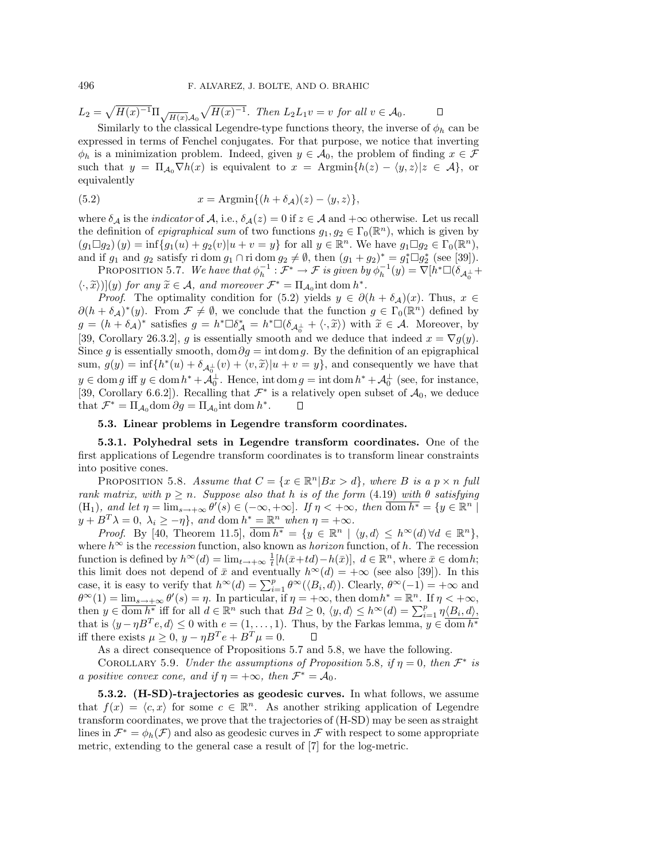$$
L_2 = \sqrt{H(x)^{-1}} \Pi \sqrt{H(x)} \mathcal{A}_0 \sqrt{H(x)^{-1}}.
$$
 Then  $L_2 L_1 v = v$  for all  $v \in \mathcal{A}_0$ .

Similarly to the classical Legendre-type functions theory, the inverse of  $\phi_h$  can be expressed in terms of Fenchel conjugates. For that purpose, we notice that inverting  $\phi_h$  is a minimization problem. Indeed, given  $y \in \mathcal{A}_0$ , the problem of finding  $x \in \mathcal{F}$ such that  $y = \prod_{\mathcal{A}_0} \nabla h(x)$  is equivalent to  $x = \text{Argmin}\{h(z) - \langle y, z \rangle | z \in \mathcal{A}\},\$ or equivalently

(5.2) 
$$
x = \text{Argmin}\{(h + \delta_{\mathcal{A}})(z) - \langle y, z \rangle\},
$$

where  $\delta_{\mathcal{A}}$  is the *indicator* of  $\mathcal{A}$ , i.e.,  $\delta_{\mathcal{A}}(z) = 0$  if  $z \in \mathcal{A}$  and  $+\infty$  otherwise. Let us recall the definition of *epigraphical sum* of two functions  $g_1, g_2 \in \Gamma_0(\mathbb{R}^n)$ , which is given by  $(g_1 \Box g_2)(y) = \inf \{g_1(u) + g_2(v)|u + v = y\}$  for all  $y \in \mathbb{R}^n$ . We have  $g_1 \Box g_2 \in \Gamma_0(\mathbb{R}^n)$ , and if  $g_1$  and  $g_2$  satisfy ridom  $g_1 \cap$  ridom  $g_2 \neq \emptyset$ , then  $(g_1 + g_2)^* = g_1^* \Box g_2^*$  (see [39]).

PROPOSITION 5.7. We have that  $\phi_h^{-1} : \mathcal{F}^* \to \mathcal{F}$  is given by  $\phi_h^{-1}(y) = \nabla [h^* \Box (\delta_{\mathcal{A}_0^{\perp}} +$  $\langle \cdot, \widetilde{x} \rangle$ ](y) for any  $\widetilde{x} \in \mathcal{A}$ , and moreover  $\mathcal{F}^* = \Pi_{\mathcal{A}_0}$  int dom  $h^*$ .<br>Proof. The optimality condition for (5.2) vialds  $u \in \partial \Omega$ 

*Proof.* The optimality condition for (5.2) yields  $y \in \partial (h + \delta_{\mathcal{A}})(x)$ . Thus,  $x \in$  $\partial (h + \delta_{\mathcal{A}})^*(y)$ . From  $\mathcal{F} \neq \emptyset$ , we conclude that the function  $g \in \Gamma_0(\mathbb{R}^n)$  defined by  $g = (h + \delta_{\mathcal{A}})^*$  satisfies  $g = h^* \Box \delta_{\mathcal{A}}^* = h^* \Box (\delta_{\mathcal{A}_0^{\perp}} + \langle \cdot, \tilde{x} \rangle)$  with  $\tilde{x} \in \mathcal{A}$ . Moreover, by [39, Corollary 26.3.2], g is essentially smooth and we deduce that indeed  $x = \nabla g(y)$ . Since g is essentially smooth, dom∂g = intdomg. By the definition of an epigraphical sum,  $g(y) = \inf\{h^*(u) + \delta_{\mathcal{A}_0^{\perp}}(v) + \langle v, \tilde{x} \rangle | u + v = y\}$ , and consequently we have that  $y \in \text{dom } g$  iff  $y \in \text{dom } h^* + A_0^{\perp}$ . Hence, int  $\text{dom } g = \text{int } \text{dom } h^* + A_0^{\perp}$  (see, for instance, [39, Corollary 6.6.2]). Recalling that  $\mathcal{F}^*$  is a relatively open subset of  $\mathcal{A}_0$ , we deduce that  $\mathcal{F}^* = \Pi_{\mathcal{A}_0}$ dom  $\partial g = \Pi_{\mathcal{A}_0}$ int dom  $h^*$ .

## **5.3. Linear problems in Legendre transform coordinates.**

**5.3.1. Polyhedral sets in Legendre transform coordinates.** One of the first applications of Legendre transform coordinates is to transform linear constraints into positive cones.

**PROPOSITION** 5.8. Assume that  $C = \{x \in \mathbb{R}^n | Bx > d\}$ , where B is a  $p \times n$  full rank matrix, with  $p \geq n$ . Suppose also that h is of the form (4.19) with  $\theta$  satisfying  $(H_1)$ , and let  $\eta = \lim_{s \to +\infty} \theta'(s) \in (-\infty, +\infty]$ . If  $\eta < +\infty$ , then  $\overline{\text{dom } h^*} = \{y \in \mathbb{R}^n \mid$  $y + B^T \lambda = 0, \ \lambda_i \geq -\eta$ , and dom  $h^* = \mathbb{R}^n$  when  $\eta = +\infty$ .

*Proof.* By [40, Theorem 11.5],  $\overline{\text{dom } h^*} = \{y \in \mathbb{R}^n \mid \langle y, d \rangle \leq h^{\infty}(d) \forall d \in \mathbb{R}^n \},$ where  $h^{\infty}$  is the *recession* function, also known as *horizon* function, of h. The recession function is defined by  $h^{\infty}(d) = \lim_{t \to +\infty} \frac{1}{t} [h(\bar{x}+td)-h(\bar{x})], d \in \mathbb{R}^n$ , where  $\bar{x} \in \text{dom } h$ ; this limit does not depend of  $\bar{x}$  and eventually  $h^{\infty}(d)=+\infty$  (see also [39]). In this case, it is easy to verify that  $h^{\infty}(d) = \sum_{i=1}^{p} \theta^{\infty}(\langle B_i, d \rangle)$ . Clearly,  $\theta^{\infty}(-1) = +\infty$  and  $\theta^{\infty}(1) = \lim_{s \to +\infty} \theta'(s) = \eta$ . In particular, if  $\eta = +\infty$ , then  $\text{dom}\, h^* = \mathbb{R}^n$ . If  $\eta < +\infty$ , then  $y \in \overline{\text{dom } h^*}$  iff for all  $d \in \mathbb{R}^n$  such that  $Bd \geq 0$ ,  $\langle y, d \rangle \leq h^{\infty}(d) = \sum_{i=1}^p \eta \langle B_i, d \rangle$ , that is  $\langle y-\eta B^T e, d \rangle \leq 0$  with  $e = (1, \ldots, 1)$ . Thus, by the Farkas lemma,  $y \in \overline{\text{dom } h^*}$ iff there exists  $\mu \geq 0$ ,  $y - \eta B^T e + B^T \mu = 0$ .

As a direct consequence of Propositions 5.7 and 5.8, we have the following.

COROLLARY 5.9. Under the assumptions of Proposition 5.8, if  $\eta = 0$ , then  $\mathcal{F}^*$  is a positive convex cone, and if  $\eta = +\infty$ , then  $\mathcal{F}^* = \mathcal{A}_0$ .

**5.3.2. (H-SD)-trajectories as geodesic curves.** In what follows, we assume that  $f(x) = \langle c, x \rangle$  for some  $c \in \mathbb{R}^n$ . As another striking application of Legendre transform coordinates, we prove that the trajectories of (H-SD) may be seen as straight lines in  $\mathcal{F}^* = \phi_h(\mathcal{F})$  and also as geodesic curves in  $\mathcal{F}$  with respect to some appropriate metric, extending to the general case a result of [7] for the log-metric.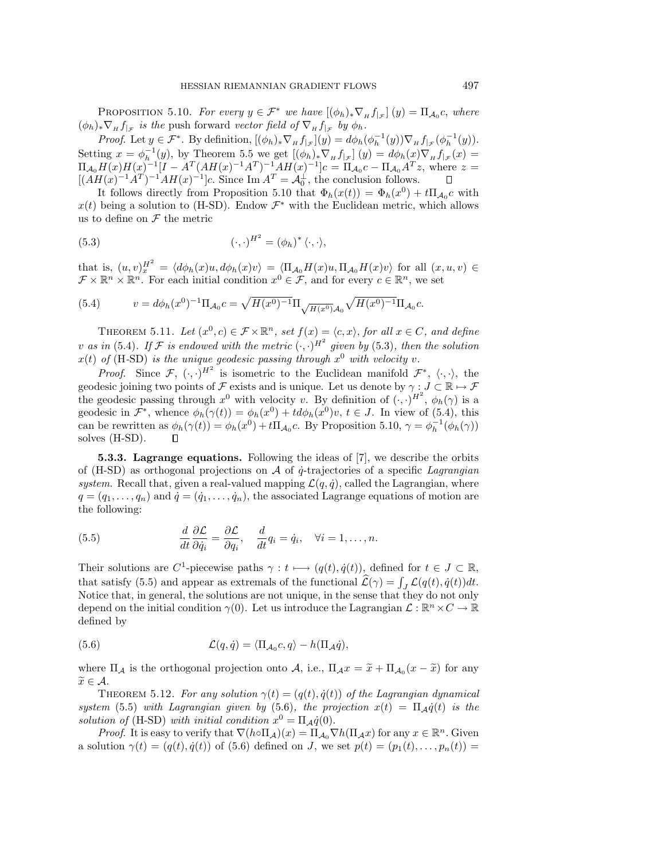PROPOSITION 5.10. For every  $y \in \mathcal{F}^*$  we have  $[(\phi_h)_* \nabla_H f_{|\mathcal{F}}](y) = \Pi_{\mathcal{A}_0} c$ , where  $(\phi_h)_*\nabla_H f_{|\mathcal{F}}$  is the push forward vector field of  $\nabla_H f_{|\mathcal{F}}$  by  $\phi_h$ .

*Proof.* Let  $y \in \mathcal{F}^*$ . By definition,  $[(\phi_h)_* \nabla_H f_{|\mathcal{F}}](y) = d\phi_h(\phi_h^{-1}(y)) \nabla_H f_{|\mathcal{F}}(\phi_h^{-1}(y))$ . Setting  $x = \phi_h^{-1}(y)$ , by Theorem 5.5 we get  $[(\phi_h)_* \nabla_H f_{\vert \mathcal{F}}](y) = d\phi_h(x) \nabla_H f_{\vert \mathcal{F}}(x) =$  $\Pi_{\mathcal{A}_0}H(x)H(x)^{-1}[I - A^T(AH(x)^{-1}A^T)^{-1}AH(x)^{-1}]c = \Pi_{\mathcal{A}_0}c - \Pi_{\mathcal{A}_0}A^Tz$ , where  $z =$  $[(AH(x)^{-1}A^T)^{-1}AH(x)^{-1}]c.$  Since Im  $A^T = \mathcal{A}_0^{\perp}$ , the conclusion follows.

It follows directly from Proposition 5.10 that  $\Phi_h(x(t)) = \Phi_h(x^0) + t\Pi_{A_0}c$  with  $x(t)$  being a solution to (H-SD). Endow  $\mathcal{F}^*$  with the Euclidean metric, which allows us to define on  ${\mathcal F}$  the metric

(5.3) 
$$
(\cdot, \cdot)^{H^2} = (\phi_h)^* \langle \cdot, \cdot \rangle,
$$

that is,  $(u, v)_x^{H^2} = \langle d\phi_h(x)u, d\phi_h(x)v \rangle = \langle \Pi_{\mathcal{A}_0} H(x)u, \Pi_{\mathcal{A}_0} H(x)v \rangle$  for all  $(x, u, v) \in$  $\mathcal{F} \times \mathbb{R}^n \times \mathbb{R}^n$ . For each initial condition  $x^0 \in \mathcal{F}$ , and for every  $c \in \mathbb{R}^n$ , we set

(5.4) 
$$
v = d\phi_h(x^0)^{-1} \Pi_{\mathcal{A}_0} c = \sqrt{H(x^0)^{-1}} \Pi_{\sqrt{H(x^0)}\mathcal{A}_0} \sqrt{H(x^0)^{-1}} \Pi_{\mathcal{A}_0} c.
$$

THEOREM 5.11. Let  $(x^0, c) \in \mathcal{F} \times \mathbb{R}^n$ , set  $f(x) = \langle c, x \rangle$ , for all  $x \in C$ , and define v as in (5.4). If F is endowed with the metric  $(\cdot, \cdot)^{H^2}$  given by (5.3), then the solution  $x(t)$  of (H-SD) is the unique geodesic passing through  $x^0$  with velocity v.

*Proof.* Since  $\mathcal{F}, (\cdot, \cdot)^{H^2}$  is isometric to the Euclidean manifold  $\mathcal{F}^*, (\cdot, \cdot)$ , the geodesic joining two points of F exists and is unique. Let us denote by  $\gamma : J \subset \mathbb{R} \mapsto \mathcal{F}$ the geodesic passing through  $x^0$  with velocity v. By definition of  $(\cdot, \cdot)^{H^2}$ ,  $\phi_h(\gamma)$  is a geodesic in  $\mathcal{F}^*$ , whence  $\phi_h(\gamma(t)) = \phi_h(x^0) + td\phi_h(x^0)v$ ,  $t \in J$ . In view of (5.4), this can be rewritten as  $\phi_h(\gamma(t)) = \phi_h(x^0) + t\Pi_{\mathcal{A}_0}c$ . By Proposition 5.10,  $\gamma = \phi_h^{-1}(\phi_h(\gamma))$ solves (H-SD).  $\Box$ 

**5.3.3. Lagrange equations.** Following the ideas of [7], we describe the orbits of (H-SD) as orthogonal projections on  $A$  of  $\dot{q}$ -trajectories of a specific Lagrangian system. Recall that, given a real-valued mapping  $\mathcal{L}(q, \dot{q})$ , called the Lagrangian, where  $q = (q_1, \ldots, q_n)$  and  $\dot{q} = (\dot{q}_1, \ldots, \dot{q}_n)$ , the associated Lagrange equations of motion are the following:

(5.5) 
$$
\frac{d}{dt}\frac{\partial \mathcal{L}}{\partial \dot{q}_i} = \frac{\partial \mathcal{L}}{\partial q_i}, \quad \frac{d}{dt}q_i = \dot{q}_i, \quad \forall i = 1, ..., n.
$$

Their solutions are C<sup>1</sup>-piecewise paths  $\gamma : t \longmapsto (q(t), \dot{q}(t))$ , defined for  $t \in J \subset \mathbb{R}$ , that satisfy (5.5) and appear as extremals of the functional  $\mathcal{L}(\gamma) = \int_J \mathcal{L}(q(t), \dot{q}(t))dt$ . Notice that, in general, the solutions are not unique, in the sense that they do not only depend on the initial condition  $\gamma(0)$ . Let us introduce the Lagrangian  $\mathcal{L}: \mathbb{R}^n \times C \to \mathbb{R}$ defined by

(5.6) 
$$
\mathcal{L}(q, \dot{q}) = \langle \Pi_{\mathcal{A}_0} c, q \rangle - h(\Pi_{\mathcal{A}} \dot{q}),
$$

where  $\Pi_A$  is the orthogonal projection onto A, i.e.,  $\Pi_A x = \tilde{x} + \Pi_{A_0} (x - \tilde{x})$  for any  $\widetilde{x} \in \mathcal{A}$ .

THEOREM 5.12. For any solution  $\gamma(t)=(q(t), \dot{q}(t))$  of the Lagrangian dynamical system (5.5) with Lagrangian given by (5.6), the projection  $x(t)=\Pi_{\mathcal{A}}\dot{q}(t)$  is the solution of (H-SD) with initial condition  $x^0 = \Pi_A \dot{q}(0)$ .

*Proof.* It is easy to verify that  $\nabla (h \circ \Pi_{\mathcal{A}})(x) = \Pi_{\mathcal{A}_0} \nabla h(\Pi_{\mathcal{A}}x)$  for any  $x \in \mathbb{R}^n$ . Given a solution  $\gamma(t)=(q(t), \dot{q}(t))$  of (5.6) defined on J, we set  $p(t)=(p_1(t),\ldots,p_n(t))=$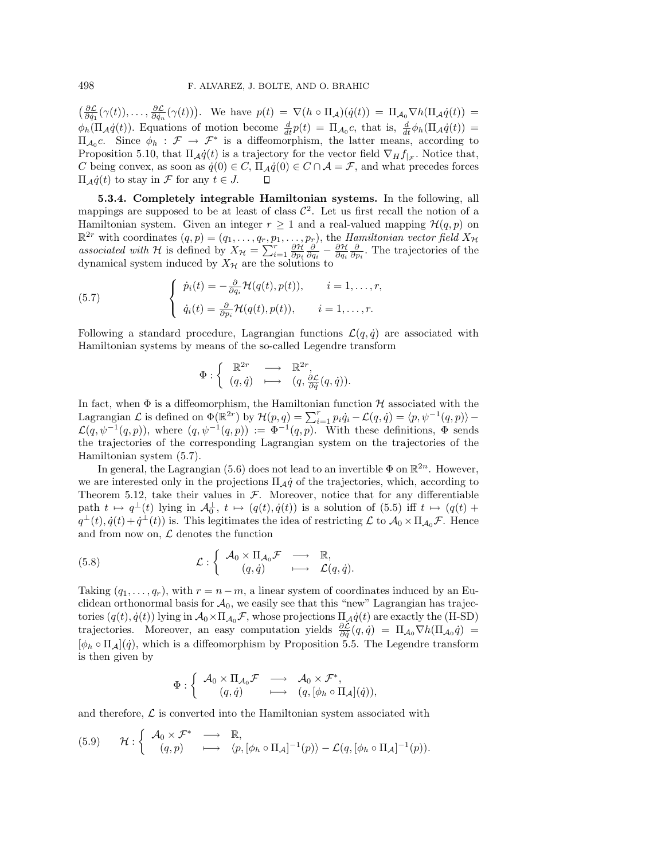$\left(\frac{\partial \mathcal{L}}{\partial \dot{q}_1}(\gamma(t)),\ldots,\frac{\partial \mathcal{L}}{\partial \dot{q}_n}(\gamma(t))\right)$ . We have  $p(t) = \nabla(h \circ \Pi_{\mathcal{A}})(\dot{q}(t)) = \Pi_{\mathcal{A}_0} \nabla h(\Pi_{\mathcal{A}}\dot{q}(t)) =$  $\phi_h(\Pi_{\mathcal{A}}\dot{q}(t))$ . Equations of motion become  $\frac{d}{dt}p(t)=\Pi_{\mathcal{A}_0}c$ , that is,  $\frac{d}{dt}\phi_h(\Pi_{\mathcal{A}}\dot{q}(t))=$  $\Pi_{A_0}c$ . Since  $\phi_h : \mathcal{F} \to \mathcal{F}^*$  is a diffeomorphism, the latter means, according to Proposition 5.10, that  $\Pi_{\mathcal{A}}\dot{q}(t)$  is a trajectory for the vector field  $\nabla_{H}f_{\vert_{\mathcal{F}}}$ . Notice that, C being convex, as soon as  $\dot{q}(0) \in C$ ,  $\Pi_{\mathcal{A}}\dot{q}(0) \in C \cap \mathcal{A} = \mathcal{F}$ , and what precedes forces  $\Pi_{\mathcal{A}}\dot{q}(t)$  to stay in *F* for any  $t \in J$ .

**5.3.4. Completely integrable Hamiltonian systems.** In the following, all mappings are supposed to be at least of class  $\mathcal{C}^2$ . Let us first recall the notion of a Hamiltonian system. Given an integer  $r \geq 1$  and a real-valued mapping  $\mathcal{H}(q, p)$  on  $\mathbb{R}^{2r}$  with coordinates  $(q, p) = (q_1, \ldots, q_r, p_1, \ldots, p_r)$ , the Hamiltonian vector field  $X_{\mathcal{H}}$ associated with H is defined by  $X_{\mathcal{H}} = \sum_{i=1}^{r} \frac{\partial \mathcal{H}}{\partial p_i} \frac{\partial}{\partial q_i} - \frac{\partial \mathcal{H}}{\partial q_i} \frac{\partial}{\partial p_i}$ . The trajectories of the dynamical system induced by  $X_{\mathcal{H}}$  are the solutions to

(5.7) 
$$
\begin{cases} \dot{p}_i(t) = -\frac{\partial}{\partial q_i} \mathcal{H}(q(t), p(t)), & i = 1, \dots, r, \\ \dot{q}_i(t) = \frac{\partial}{\partial p_i} \mathcal{H}(q(t), p(t)), & i = 1, \dots, r. \end{cases}
$$

Following a standard procedure, Lagrangian functions  $\mathcal{L}(q, \dot{q})$  are associated with Hamiltonian systems by means of the so-called Legendre transform

$$
\Phi : \left\{ \begin{array}{ccc} \mathbb{R}^{2r} & \longrightarrow & \mathbb{R}^{2r}, \\ (q, \dot{q}) & \longmapsto & (q, \frac{\partial \mathcal{L}}{\partial \dot{q}}(q, \dot{q})). \end{array} \right.
$$

In fact, when  $\Phi$  is a diffeomorphism, the Hamiltonian function  $\mathcal H$  associated with the Lagrangian  $\mathcal L$  is defined on  $\Phi(\mathbb{R}^{2r})$  by  $\mathcal H(p,q)=\sum_{i=1}^rp_i\dot{q}_i-\mathcal L(q,\dot{q})=\langle p,\psi^{-1}(q,p)\rangle \mathcal{L}(q, \psi^{-1}(q, p)),$  where  $(q, \psi^{-1}(q, p)) := \Phi^{-1}(q, p).$  With these definitions,  $\Phi$  sends the trajectories of the corresponding Lagrangian system on the trajectories of the Hamiltonian system (5.7).

In general, the Lagrangian (5.6) does not lead to an invertible  $\Phi$  on  $\mathbb{R}^{2n}$ . However, we are interested only in the projections  $\Pi_{\mathcal{A}}\dot{q}$  of the trajectories, which, according to Theorem 5.12, take their values in  $F$ . Moreover, notice that for any differentiable path  $t \mapsto q^{\perp}(t)$  lying in  $\mathcal{A}_0^{\perp}$ ,  $t \mapsto (q(t), \dot{q}(t))$  is a solution of  $(5.5)$  iff  $t \mapsto (q(t) +$  $q^{\perp}(t), \dot{q}(t)+\dot{q}^{\perp}(t)$  is. This legitimates the idea of restricting  $\mathcal{L}$  to  $\mathcal{A}_0 \times \Pi_{\mathcal{A}_0}\mathcal{F}$ . Hence and from now on,  $\mathcal L$  denotes the function

(5.8) 
$$
\mathcal{L} : \left\{ \begin{array}{ccc} \mathcal{A}_0 \times \Pi_{\mathcal{A}_0} \mathcal{F} & \longrightarrow & \mathbb{R}, \\ (q, \dot{q}) & \longmapsto & \mathcal{L}(q, \dot{q}). \end{array} \right.
$$

Taking  $(q_1,\ldots,q_r)$ , with  $r = n-m$ , a linear system of coordinates induced by an Euclidean orthonormal basis for  $A_0$ , we easily see that this "new" Lagrangian has trajectories  $(q(t), \dot{q}(t))$  lying in  $\mathcal{A}_0 \times \Pi_{\mathcal{A}_0}\mathcal{F}$ , whose projections  $\Pi_{\mathcal{A}}\dot{q}(t)$  are exactly the (H-SD) trajectories. Moreover, an easy computation yields  $\frac{\partial \mathcal{L}}{\partial \dot{q}}(q,\dot{q})=\Pi_{\mathcal{A}_0}\nabla h(\Pi_{\mathcal{A}_0}\dot{q})=$  $[\phi_h \circ \Pi_A](\dot{q})$ , which is a diffeomorphism by Proposition 5.5. The Legendre transform is then given by

$$
\Phi : \left\{ \begin{array}{ccc} \mathcal{A}_0 \times \Pi_{\mathcal{A}_0}\mathcal{F} & \longrightarrow & \mathcal{A}_0 \times \mathcal{F}^*, \\ (q,\dot{q}) & \longmapsto & (q,[\phi_h \circ \Pi_\mathcal{A}](\dot{q})), \end{array} \right.
$$

and therefore,  $\mathcal L$  is converted into the Hamiltonian system associated with

(5.9) 
$$
\mathcal{H}: \left\{ \begin{array}{ccc} \mathcal{A}_0 \times \mathcal{F}^* & \longrightarrow & \mathbb{R}, \\ (q,p) & \longmapsto & \langle p, [\phi_h \circ \Pi_\mathcal{A}]^{-1}(p) \rangle - \mathcal{L}(q, [\phi_h \circ \Pi_\mathcal{A}]^{-1}(p)). \end{array} \right.
$$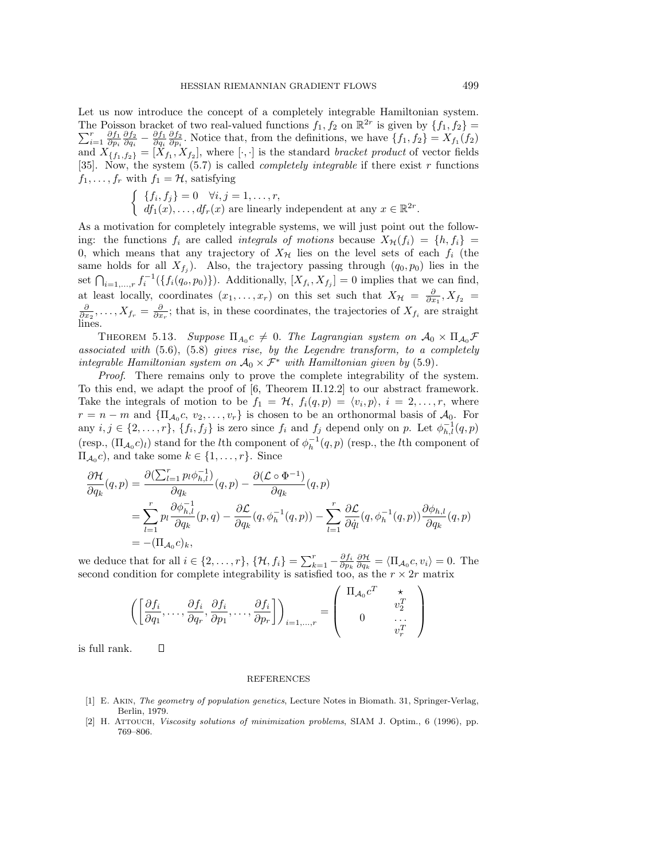Let us now introduce the concept of a completely integrable Hamiltonian system. The Poisson bracket of two real-valued functions  $f_1, f_2$  on  $\mathbb{R}^{2r}$  is given by  $\{f_1, f_2\} = \nabla^r \frac{\partial f_1}{\partial f_2} \frac{\partial f_2}{\partial f_1} \frac{\partial f_2}{\partial f_2}$ . Notice that from the definitions we have  $\{f, f\} = \nabla^r (f)$ .  $\sum_{i=1}^r \frac{\partial f_1}{\partial p_i} \frac{\partial f_2}{\partial q_i} - \frac{\partial f_1}{\partial q_i} \frac{\partial f_2}{\partial p_i}$ . Notice that, from the definitions, we have  $\{f_1, f_2\} = X_{f_1}(f_2)$ and  $X_{\{f_1,f_2\}} = [X_{f_1}, X_{f_2}]$ , where  $[\cdot,\cdot]$  is the standard *bracket product* of vector fields [35]. Now, the system (5.7) is called *completely integrable* if there exist r functions  $f_1,\ldots,f_r$  with  $f_1 = \mathcal{H}$ , satisfying

$$
\begin{cases} \{f_i, f_j\} = 0 \quad \forall i, j = 1, \dots, r, \\ \ df_1(x), \dots, df_r(x) \text{ are linearly independent at any } x \in \mathbb{R}^{2r}. \end{cases}
$$

As a motivation for completely integrable systems, we will just point out the following: the functions  $f_i$  are called *integrals of motions* because  $X_{\mathcal{H}}(f_i) = \{h, f_i\}$ 0, which means that any trajectory of  $X_{\mathcal{H}}$  lies on the level sets of each  $f_i$  (the same holds for all  $X_{f_j}$ ). Also, the trajectory passing through  $(q_0, p_0)$  lies in the set  $\bigcap_{i=1,\ldots,r} f_i^{-1}(\{f_i(q_o,p_0)\})$ . Additionally,  $[X_{f_i}, X_{f_j}] = 0$  implies that we can find, at least locally, coordinates  $(x_1, \ldots, x_r)$  on this set such that  $X_{\mathcal{H}} = \frac{\partial}{\partial x_1}$ ,  $X_{f_2} =$  $\frac{\partial}{\partial x_2},\ldots,X_{f_r}=\frac{\partial}{\partial x_r}$ ; that is, in these coordinates, the trajectories of  $X_{f_i}$  are straight lines.

THEOREM 5.13. Suppose  $\Pi_{A_0} c \neq 0$ . The Lagrangian system on  $A_0 \times \Pi_{A_0} \mathcal{F}$ associated with (5.6), (5.8) gives rise, by the Legendre transform, to a completely integrable Hamiltonian system on  $\mathcal{A}_0 \times \mathcal{F}^*$  with Hamiltonian given by (5.9).

Proof. There remains only to prove the complete integrability of the system. To this end, we adapt the proof of [6, Theorem II.12.2] to our abstract framework. Take the integrals of motion to be  $f_1 = H$ ,  $f_i(q,p) = \langle v_i, p \rangle$ ,  $i = 2, \ldots, r$ , where  $r = n - m$  and  ${\{\Pi_{A_0}c, v_2, \ldots, v_r\}}$  is chosen to be an orthonormal basis of  $A_0$ . For any  $i, j \in \{2, \ldots, r\}, \{f_i, f_j\}$  is zero since  $f_i$  and  $f_j$  depend only on p. Let  $\phi_{h,l}^{-1}(q, p)$ (resp.,  $(\Pi_{\mathcal{A}_0} c)_l$ ) stand for the *l*th component of  $\phi_h^{-1}(q, p)$  (resp., the *l*th component of  $\Pi_{A_0}c$ , and take some  $k \in \{1, \ldots, r\}$ . Since

$$
\frac{\partial \mathcal{H}}{\partial q_k}(q, p) = \frac{\partial (\sum_{l=1}^r p_l \phi_{h,l}^{-1})}{\partial q_k}(q, p) - \frac{\partial (\mathcal{L} \circ \Phi^{-1})}{\partial q_k}(q, p) \n= \sum_{l=1}^r p_l \frac{\partial \phi_{h,l}^{-1}}{\partial q_k}(p, q) - \frac{\partial \mathcal{L}}{\partial q_k}(q, \phi_h^{-1}(q, p)) - \sum_{l=1}^r \frac{\partial \mathcal{L}}{\partial \dot{q}_l}(q, \phi_h^{-1}(q, p)) \frac{\partial \phi_{h,l}}{\partial q_k}(q, p) \n= -(\Pi_{\mathcal{A}_0} c)_k,
$$

we deduce that for all  $i \in \{2, \ldots, r\}$ ,  $\{\mathcal{H}, f_i\} = \sum_{k=1}^r -\frac{\partial f_i}{\partial p_k} \frac{\partial \mathcal{H}}{\partial q_k} = \langle \Pi_{\mathcal{A}_0} c, v_i \rangle = 0$ . The second condition for complete integrability is satisfied too, as the  $r \times 2r$  matrix

$$
\left( \begin{bmatrix} \frac{\partial f_i}{\partial q_1}, \dots, \frac{\partial f_i}{\partial q_r}, \frac{\partial f_i}{\partial p_1}, \dots, \frac{\partial f_i}{\partial p_r} \end{bmatrix} \right)_{i=1,\dots,r} = \begin{pmatrix} \Pi_{\mathcal{A}_0} c^T & \star & \cdots \\ 0 & \dots & \cdots \\ 0 & \cdots & \cdots \\ \vdots & \ddots & \vdots \\ 0 & \cdots & \cdots \end{pmatrix}
$$

is full rank.

 $\Box$ 

#### REFERENCES

- [1] E. Akin, The geometry of population genetics, Lecture Notes in Biomath. 31, Springer-Verlag, Berlin, 1979.
- [2] H. Attouch, Viscosity solutions of minimization problems, SIAM J. Optim., 6 (1996), pp. 769–806.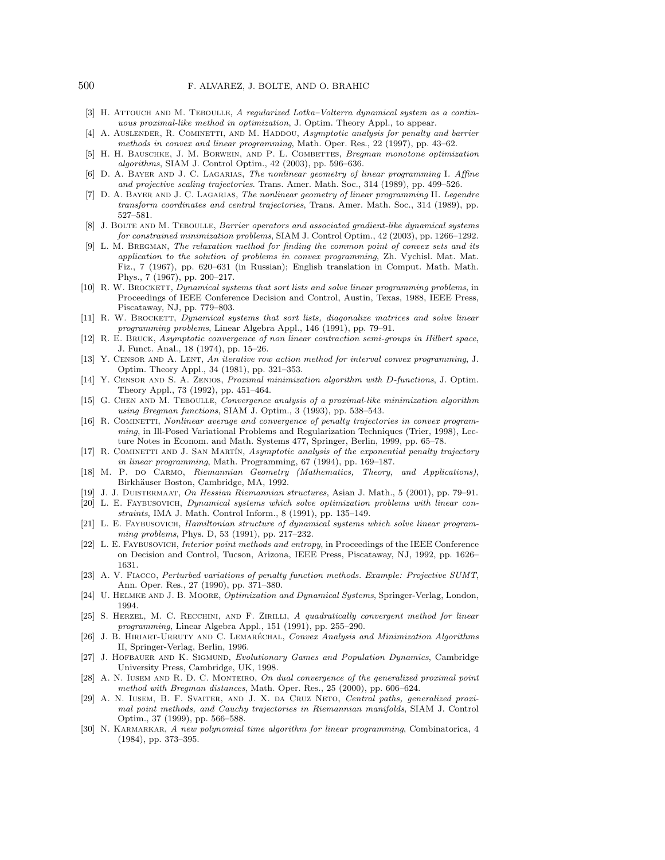- [3] H. ATTOUCH AND M. TEBOULLE, A regularized Lotka–Volterra dynamical system as a continuous proximal-like method in optimization, J. Optim. Theory Appl., to appear.
- [4] A. AUSLENDER, R. COMINETTI, AND M. HADDOU, Asymptotic analysis for penalty and barrier methods in convex and linear programming, Math. Oper. Res., 22 (1997), pp. 43–62.
- [5] H. H. Bauschke, J. M. Borwein, and P. L. Combettes, Bregman monotone optimization algorithms, SIAM J. Control Optim., 42 (2003), pp. 596–636.
- [6] D. A. Bayer and J. C. Lagarias, The nonlinear geometry of linear programming I. Affine and projective scaling trajectories. Trans. Amer. Math. Soc., 314 (1989), pp. 499–526.
- [7] D. A. BAYER AND J. C. LAGARIAS, The nonlinear geometry of linear programming II. Legendre transform coordinates and central trajectories, Trans. Amer. Math. Soc., 314 (1989), pp. 527–581.
- [8] J. BOLTE AND M. TEBOULLE, Barrier operators and associated gradient-like dynamical systems for constrained minimization problems, SIAM J. Control Optim., 42 (2003), pp. 1266–1292.
- [9] L. M. Bregman, The relaxation method for finding the common point of convex sets and its application to the solution of problems in convex programming, Zh. Vychisl. Mat. Mat. Fiz., 7 (1967), pp. 620–631 (in Russian); English translation in Comput. Math. Math. Phys., 7 (1967), pp. 200–217.
- [10] R. W. BROCKETT, Dynamical systems that sort lists and solve linear programming problems, in Proceedings of IEEE Conference Decision and Control, Austin, Texas, 1988, IEEE Press, Piscataway, NJ, pp. 779–803.
- [11] R. W. BROCKETT, Dynamical systems that sort lists, diagonalize matrices and solve linear programming problems, Linear Algebra Appl., 146 (1991), pp. 79–91.
- [12] R. E. Bruck, Asymptotic convergence of non linear contraction semi-groups in Hilbert space, J. Funct. Anal., 18 (1974), pp. 15–26.
- [13] Y. CENSOR AND A. LENT, An iterative row action method for interval convex programming, J. Optim. Theory Appl., 34 (1981), pp. 321–353.
- [14] Y. Censor and S. A. Zenios, Proximal minimization algorithm with D-functions, J. Optim. Theory Appl., 73 (1992), pp. 451–464.
- [15] G. CHEN AND M. TEBOULLE, Convergence analysis of a proximal-like minimization algorithm using Bregman functions, SIAM J. Optim., 3 (1993), pp. 538–543.
- [16] R. COMINETTI, Nonlinear average and convergence of penalty trajectories in convex programming, in Ill-Posed Variational Problems and Regularization Techniques (Trier, 1998), Lecture Notes in Econom. and Math. Systems 477, Springer, Berlin, 1999, pp. 65–78.
- [17] R. COMINETTI AND J. SAN MARTÍN, Asymptotic analysis of the exponential penalty trajectory in linear programming, Math. Programming, 67 (1994), pp. 169–187.
- [18] M. P. do Carmo, Riemannian Geometry (Mathematics, Theory, and Applications), Birkhäuser Boston, Cambridge, MA, 1992.
- [19] J. J. Duistermaat, On Hessian Riemannian structures, Asian J. Math., 5 (2001), pp. 79–91.
- [20] L. E. Faybusovich, Dynamical systems which solve optimization problems with linear constraints, IMA J. Math. Control Inform., 8 (1991), pp. 135–149.
- [21] L. E. FAYBUSOVICH, Hamiltonian structure of dynamical systems which solve linear programming problems, Phys. D, 53 (1991), pp. 217–232.
- [22] L. E. FAYBUSOVICH, Interior point methods and entropy, in Proceedings of the IEEE Conference on Decision and Control, Tucson, Arizona, IEEE Press, Piscataway, NJ, 1992, pp. 1626– 1631.
- [23] A. V. Fiacco, Perturbed variations of penalty function methods. Example: Projective SUMT, Ann. Oper. Res., 27 (1990), pp. 371–380.
- [24] U. Helmke and J. B. Moore, Optimization and Dynamical Systems, Springer-Verlag, London, 1994.
- [25] S. HERZEL, M. C. RECCHINI, AND F. ZIRILLI, A quadratically convergent method for linear programming, Linear Algebra Appl., 151 (1991), pp. 255–290.
- [26] J. B. HIRIART-URRUTY AND C. LEMARÉCHAL, Convex Analysis and Minimization Algorithms II, Springer-Verlag, Berlin, 1996.
- [27] J. HOFBAUER AND K. SIGMUND, Evolutionary Games and Population Dynamics, Cambridge University Press, Cambridge, UK, 1998.
- [28] A. N. Iusem and R. D. C. Monteiro, On dual convergence of the generalized proximal point method with Bregman distances, Math. Oper. Res., 25 (2000), pp. 606–624.
- [29] A. N. Iusem, B. F. Svaiter, and J. X. da Cruz Neto, Central paths, generalized proximal point methods, and Cauchy trajectories in Riemannian manifolds, SIAM J. Control Optim., 37 (1999), pp. 566–588.
- [30] N. KARMARKAR, A new polynomial time algorithm for linear programming, Combinatorica, 4 (1984), pp. 373–395.